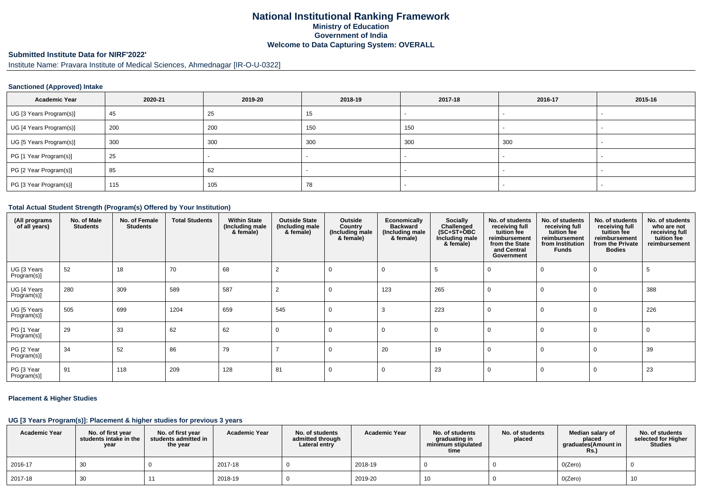## **National Institutional Ranking FrameworkMinistry of Education Government of IndiaWelcome to Data Capturing System: OVERALL**

# **Submitted Institute Data for NIRF'2022'**

Institute Name: Pravara Institute of Medical Sciences, Ahmednagar [IR-O-U-0322]

#### **Sanctioned (Approved) Intake**

| <b>Academic Year</b>    | 2020-21 | 2019-20 | 2018-19 | 2017-18 | 2016-17 | 2015-16 |
|-------------------------|---------|---------|---------|---------|---------|---------|
| UG [3 Years Program(s)] | 45      | 25      | 15      |         |         |         |
| UG [4 Years Program(s)] | 200     | 200     | 150     | 150     |         |         |
| UG [5 Years Program(s)] | 300     | 300     | 300     | 300     | 300     |         |
| PG [1 Year Program(s)]  | 25      |         |         |         |         |         |
| PG [2 Year Program(s)]  | 85      | 62      |         |         |         |         |
| PG [3 Year Program(s)]  | 115     | 105     | 78      |         |         |         |

#### **Total Actual Student Strength (Program(s) Offered by Your Institution)**

| (All programs<br>of all years) | No. of Male<br><b>Students</b> | No. of Female<br><b>Students</b> | <b>Total Students</b> | <b>Within State</b><br>(Including male<br>& female) | <b>Outside State</b><br>(Including male<br>& female) | Outside<br>Country<br>(Including male<br>& female) | Economically<br><b>Backward</b><br>(Including male<br>& female) | Socially<br>Challenged<br>$(SC+ST+\text{O}BC)$<br>Including male<br>& female) | No. of students<br>receiving full<br>tuition fee<br>reimbursement<br>from the State<br>and Central<br>Government | No. of students<br>receiving full<br>tuition fee<br>reimbursement<br>from Institution<br><b>Funds</b> | No. of students<br>receiving full<br>tuition fee<br>reimbursement<br>from the Private<br><b>Bodies</b> | No. of students<br>who are not<br>receiving full<br>tuition fee<br>reimbursement |
|--------------------------------|--------------------------------|----------------------------------|-----------------------|-----------------------------------------------------|------------------------------------------------------|----------------------------------------------------|-----------------------------------------------------------------|-------------------------------------------------------------------------------|------------------------------------------------------------------------------------------------------------------|-------------------------------------------------------------------------------------------------------|--------------------------------------------------------------------------------------------------------|----------------------------------------------------------------------------------|
| UG [3 Years<br>Program(s)]     | 52                             | 18                               | 70                    | 68                                                  |                                                      | 0                                                  |                                                                 |                                                                               |                                                                                                                  |                                                                                                       |                                                                                                        |                                                                                  |
| UG [4 Years<br>Program(s)]     | 280                            | 309                              | 589                   | 587                                                 | 2                                                    | $\Omega$                                           | 123                                                             | 265                                                                           |                                                                                                                  |                                                                                                       |                                                                                                        | 388                                                                              |
| UG [5 Years<br>Program(s)]     | 505                            | 699                              | 1204                  | 659                                                 | 545                                                  | $\Omega$                                           |                                                                 | 223                                                                           |                                                                                                                  |                                                                                                       | -0                                                                                                     | 226                                                                              |
| PG [1 Year<br>Program(s)]      | 29                             | 33                               | 62                    | 62                                                  | 0                                                    | 0                                                  | $\Omega$                                                        | $\Omega$                                                                      |                                                                                                                  |                                                                                                       | 0                                                                                                      | -0                                                                               |
| PG [2 Year<br>Program(s)]      | 34                             | 52                               | 86                    | 79                                                  |                                                      | $\Omega$                                           | 20                                                              | 19                                                                            |                                                                                                                  |                                                                                                       |                                                                                                        | 39                                                                               |
| PG [3 Year<br>Program(s)]      | 91                             | 118                              | 209                   | 128                                                 | 81                                                   | $\Omega$                                           | $\Omega$                                                        | 23                                                                            |                                                                                                                  |                                                                                                       | $\Omega$                                                                                               | 23                                                                               |

#### **Placement & Higher Studies**

### **UG [3 Years Program(s)]: Placement & higher studies for previous 3 years**

| <b>Academic Year</b> | No. of first vear<br>students intake in the<br>year | No. of first year<br>students admitted in<br>the year | <b>Academic Year</b> | No. of students<br>admitted through<br>Lateral entry | <b>Academic Year</b> | No. of students<br>graduating in<br>minimum stipulated<br>time | No. of students<br>placed | Median salary of<br>placed<br>araduates(Amount in<br><b>Rs.)</b> | No. of students<br>selected for Higher<br><b>Studies</b> |
|----------------------|-----------------------------------------------------|-------------------------------------------------------|----------------------|------------------------------------------------------|----------------------|----------------------------------------------------------------|---------------------------|------------------------------------------------------------------|----------------------------------------------------------|
| 2016-17              | 30                                                  |                                                       | 2017-18              |                                                      | 2018-19              |                                                                |                           | O(Zero)                                                          |                                                          |
| 2017-18              | 30                                                  |                                                       | 2018-19              |                                                      | 2019-20              | 10                                                             |                           | O(Zero)                                                          | 10                                                       |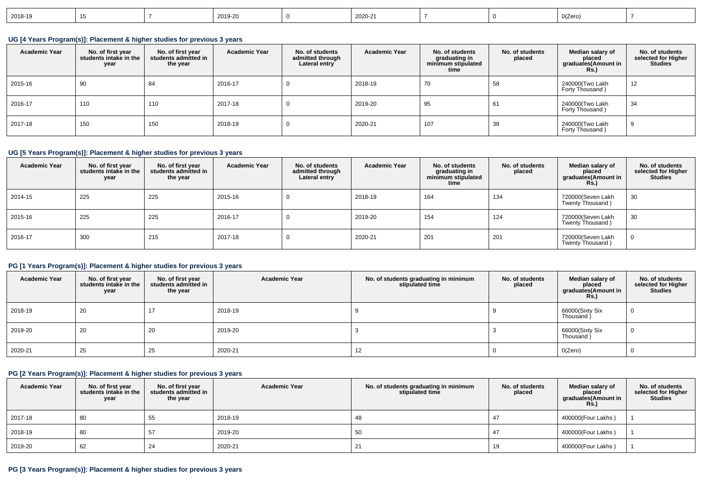| 2018-19 |  |  | 2019-20 |  | 2020-21 |  |  | 0(Zero) |  |
|---------|--|--|---------|--|---------|--|--|---------|--|
|---------|--|--|---------|--|---------|--|--|---------|--|

**UG [4 Years Program(s)]: Placement & higher studies for previous 3 years**

| <b>Academic Year</b> | No. of first year<br>students intake in the<br>year | No. of first year<br>students admitted in<br>the year | <b>Academic Year</b> | No. of students<br>admitted through<br>Lateral entry | <b>Academic Year</b> | No. of students<br>graduating in<br>minimum stipulated<br>time | No. of students<br>placed | Median salary of<br>placed<br>graduates(Amount in<br>Rs.) | No. of students<br>selected for Higher<br><b>Studies</b> |
|----------------------|-----------------------------------------------------|-------------------------------------------------------|----------------------|------------------------------------------------------|----------------------|----------------------------------------------------------------|---------------------------|-----------------------------------------------------------|----------------------------------------------------------|
| 2015-16              | -90                                                 | -84                                                   | 2016-17              | υ                                                    | 2018-19              | 70                                                             | 58                        | 240000(Two Lakh<br>Forty Thousand)                        | 12                                                       |
| 2016-17              | 110                                                 | 110                                                   | 2017-18              | 0                                                    | 2019-20              | 95                                                             | 61                        | 240000(Two Lakh<br>Forty Thousand)                        | 34                                                       |
| 2017-18              | 150                                                 | 150                                                   | 2018-19              | υ                                                    | 2020-21              | 107                                                            | 38                        | 240000(Two Lakh<br>Forty Thousand)                        |                                                          |

#### **UG [5 Years Program(s)]: Placement & higher studies for previous 3 years**

| <b>Academic Year</b> | No. of first year<br>students intake in the<br>year | No. of first year<br>students admitted in<br>the year | <b>Academic Year</b> | No. of students<br>admitted through<br>Lateral entry | <b>Academic Year</b> | No. of students<br>graduating in<br>minimum stipulated<br>time | No. of students<br>placed | Median salary of<br>placed<br>graduates(Amount in<br><b>Rs.</b> ) | No. of students<br>selected for Higher<br><b>Studies</b> |
|----------------------|-----------------------------------------------------|-------------------------------------------------------|----------------------|------------------------------------------------------|----------------------|----------------------------------------------------------------|---------------------------|-------------------------------------------------------------------|----------------------------------------------------------|
| 2014-15              | 225                                                 | 225                                                   | 2015-16              |                                                      | 2018-19              | 164                                                            | 134                       | 720000(Seven Lakh<br>Twenty Thousand)                             | 30                                                       |
| 2015-16              | 225                                                 | 225                                                   | 2016-17              |                                                      | 2019-20              | 154                                                            | 124                       | 720000(Seven Lakh<br>Twenty Thousand)                             | 30                                                       |
| 2016-17              | 300                                                 | 215                                                   | 2017-18              |                                                      | 2020-21              | 201                                                            | 201                       | 720000(Seven Lakh<br>Twenty Thousand)                             |                                                          |

#### **PG [1 Years Program(s)]: Placement & higher studies for previous 3 years**

| <b>Academic Year</b> | No. of first year<br>students intake in the<br>year | No. of first year<br>students admitted in<br>the year | <b>Academic Year</b> | No. of students graduating in minimum<br>stipulated time | No. of students<br>placed | Median salary of<br>placed<br>graduates(Amount in<br><b>Rs.</b> ) | No. of students<br>selected for Higher<br><b>Studies</b> |
|----------------------|-----------------------------------------------------|-------------------------------------------------------|----------------------|----------------------------------------------------------|---------------------------|-------------------------------------------------------------------|----------------------------------------------------------|
| 2018-19              | 20                                                  | 17                                                    | 2018-19              |                                                          |                           | 66000(Sixty Six<br>Thousand)                                      | υ                                                        |
| 2019-20              | 20                                                  | 20                                                    | 2019-20              |                                                          |                           | 66000(Sixty Six<br>Thousand                                       | v                                                        |
| 2020-21              | 25                                                  | 25                                                    | 2020-21              | 12                                                       |                           | O(Zero)                                                           |                                                          |

### **PG [2 Years Program(s)]: Placement & higher studies for previous 3 years**

| <b>Academic Year</b> | No. of first year<br>students intake in the<br>year | No. of first year<br>students admitted in<br>the year | <b>Academic Year</b> | No. of students graduating in minimum<br>stipulated time | No. of students<br>placed | Median salary of<br>placed<br>graduates(Amount in<br><b>Rs.)</b> | No. of students<br>selected for Higher<br><b>Studies</b> |
|----------------------|-----------------------------------------------------|-------------------------------------------------------|----------------------|----------------------------------------------------------|---------------------------|------------------------------------------------------------------|----------------------------------------------------------|
| 2017-18              | 80                                                  | 55                                                    | 2018-19              | 48                                                       |                           | 400000(Four Lakhs)                                               |                                                          |
| 2018-19              | 80                                                  | 57                                                    | 2019-20              | 50                                                       |                           | 400000(Four Lakhs)                                               |                                                          |
| 2019-20              | 62                                                  | 24                                                    | 2020-21              | ∠                                                        | 19                        | 400000(Four Lakhs)                                               |                                                          |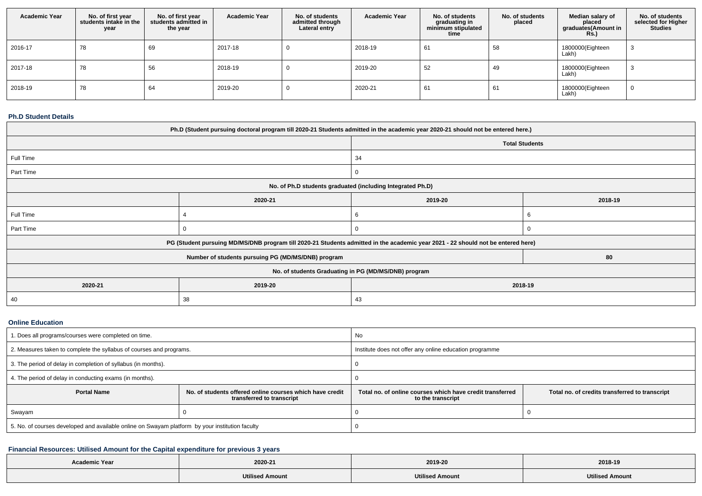| <b>Academic Year</b> | No. of first year<br>students intake in the<br>year | No. of first year<br>students admitted in<br>the year | <b>Academic Year</b> | No. of students<br>admitted through<br>Lateral entry | <b>Academic Year</b> | No. of students<br>graduating in<br>minimum stipulated<br>time | No. of students<br>placed | Median salary of<br>placed<br>graduates(Amount in<br><b>Rs.)</b> | No. of students<br>selected for Higher<br><b>Studies</b> |
|----------------------|-----------------------------------------------------|-------------------------------------------------------|----------------------|------------------------------------------------------|----------------------|----------------------------------------------------------------|---------------------------|------------------------------------------------------------------|----------------------------------------------------------|
| 2016-17              | 78                                                  | 69                                                    | 2017-18              |                                                      | 2018-19              | 61                                                             | 58                        | 1800000(Eighteen<br>Lakh)                                        | د.                                                       |
| 2017-18              | 78                                                  | 56                                                    | 2018-19              |                                                      | 2019-20              | 52                                                             | 49                        | 1800000(Eighteen<br>Lakh)                                        |                                                          |
| 2018-19              | 78                                                  | 64                                                    | 2019-20              |                                                      | 2020-21              | 61                                                             | 61                        | 1800000(Eighteen<br>Lakh)                                        | υ                                                        |

#### **Ph.D Student Details**

| Ph.D (Student pursuing doctoral program till 2020-21 Students admitted in the academic year 2020-21 should not be entered here.) |                                                                                                                                  |         |                       |  |  |  |  |
|----------------------------------------------------------------------------------------------------------------------------------|----------------------------------------------------------------------------------------------------------------------------------|---------|-----------------------|--|--|--|--|
|                                                                                                                                  |                                                                                                                                  |         | <b>Total Students</b> |  |  |  |  |
| Full Time                                                                                                                        |                                                                                                                                  | 34      |                       |  |  |  |  |
| Part Time                                                                                                                        |                                                                                                                                  | 0       |                       |  |  |  |  |
|                                                                                                                                  | No. of Ph.D students graduated (including Integrated Ph.D)                                                                       |         |                       |  |  |  |  |
|                                                                                                                                  | 2020-21                                                                                                                          | 2019-20 | 2018-19               |  |  |  |  |
| Full Time                                                                                                                        |                                                                                                                                  | 6       |                       |  |  |  |  |
| Part Time                                                                                                                        |                                                                                                                                  | 0       | 0                     |  |  |  |  |
|                                                                                                                                  | PG (Student pursuing MD/MS/DNB program till 2020-21 Students admitted in the academic year 2021 - 22 should not be entered here) |         |                       |  |  |  |  |
|                                                                                                                                  | Number of students pursuing PG (MD/MS/DNB) program                                                                               |         | 80                    |  |  |  |  |
| No. of students Graduating in PG (MD/MS/DNB) program                                                                             |                                                                                                                                  |         |                       |  |  |  |  |
| 2020-21                                                                                                                          | 2019-20<br>2018-19                                                                                                               |         |                       |  |  |  |  |
| 40                                                                                                                               | 38                                                                                                                               | 43      |                       |  |  |  |  |

### **Online Education**

| . Does all programs/courses were completed on time.                                             |                                                                                       | No                                                                             |                                                |  |  |
|-------------------------------------------------------------------------------------------------|---------------------------------------------------------------------------------------|--------------------------------------------------------------------------------|------------------------------------------------|--|--|
| 2. Measures taken to complete the syllabus of courses and programs.                             |                                                                                       | Institute does not offer any online education programme                        |                                                |  |  |
| 3. The period of delay in completion of syllabus (in months).                                   |                                                                                       |                                                                                |                                                |  |  |
| 4. The period of delay in conducting exams (in months).                                         |                                                                                       |                                                                                |                                                |  |  |
| <b>Portal Name</b>                                                                              | No. of students offered online courses which have credit<br>transferred to transcript | Total no, of online courses which have credit transferred<br>to the transcript | Total no. of credits transferred to transcript |  |  |
| Swayam                                                                                          |                                                                                       |                                                                                |                                                |  |  |
| 5. No. of courses developed and available online on Swayam platform by your institution faculty |                                                                                       |                                                                                |                                                |  |  |

# **Financial Resources: Utilised Amount for the Capital expenditure for previous 3 years**

| <b>Academic Year</b> |                        |                        |                 |
|----------------------|------------------------|------------------------|-----------------|
|                      | 2020-21                | 2019-20                | 2018-19         |
|                      | <b>Utilised Amount</b> | <b>Utilised Amount</b> | Utilised Amount |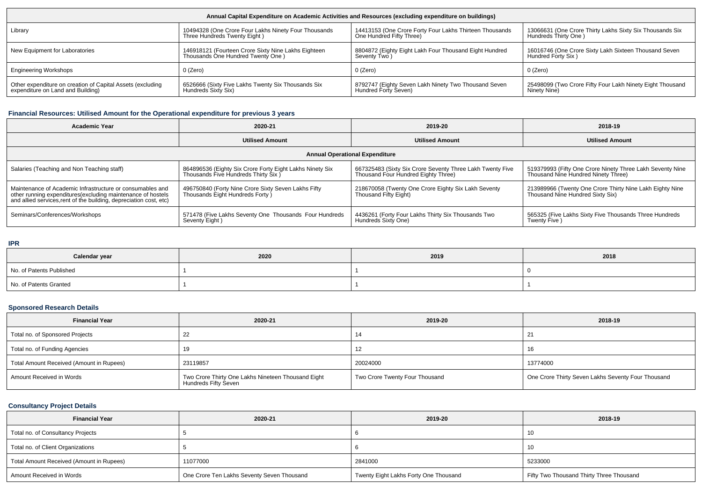| Annual Capital Expenditure on Academic Activities and Resources (excluding expenditure on buildings) |                                                                                          |                                                                                     |                                                                                  |  |  |  |  |
|------------------------------------------------------------------------------------------------------|------------------------------------------------------------------------------------------|-------------------------------------------------------------------------------------|----------------------------------------------------------------------------------|--|--|--|--|
| Library                                                                                              | 10494328 (One Crore Four Lakhs Ninety Four Thousands<br>Three Hundreds Twenty Eight)     | 14413153 (One Crore Forty Four Lakhs Thirteen Thousands<br>One Hundred Fifty Three) | 13066631 (One Crore Thirty Lakhs Sixty Six Thousands Six<br>Hundreds Thirty One) |  |  |  |  |
| New Equipment for Laboratories                                                                       | 146918121 (Fourteen Crore Sixty Nine Lakhs Eighteen<br>Thousands One Hundred Twenty One) |                                                                                     | 16016746 (One Crore Sixty Lakh Sixteen Thousand Seven<br>Hundred Forty Six)      |  |  |  |  |
| <b>Engineering Workshops</b>                                                                         | $0$ (Zero)                                                                               | 0 (Zero)                                                                            | 0 (Zero)                                                                         |  |  |  |  |
| Other expenditure on creation of Capital Assets (excluding<br>expenditure on Land and Building)      | 6526666 (Sixty Five Lakhs Twenty Six Thousands Six<br>Hundreds Sixty Six)                | 8792747 (Eighty Seven Lakh Ninety Two Thousand Seven<br>Hundred Forty Seven)        | 25498099 (Two Crore Fifty Four Lakh Ninety Eight Thousand<br>Ninety Nine)        |  |  |  |  |

#### **Financial Resources: Utilised Amount for the Operational expenditure for previous 3 years**

| Academic Year                                                                                                                                                                                                                                                                              | 2020-21                                                                                          | 2019-20                                                                                          | 2018-19                                                                                          |  |  |  |  |  |
|--------------------------------------------------------------------------------------------------------------------------------------------------------------------------------------------------------------------------------------------------------------------------------------------|--------------------------------------------------------------------------------------------------|--------------------------------------------------------------------------------------------------|--------------------------------------------------------------------------------------------------|--|--|--|--|--|
|                                                                                                                                                                                                                                                                                            | <b>Utilised Amount</b>                                                                           | <b>Utilised Amount</b>                                                                           | <b>Utilised Amount</b>                                                                           |  |  |  |  |  |
| <b>Annual Operational Expenditure</b>                                                                                                                                                                                                                                                      |                                                                                                  |                                                                                                  |                                                                                                  |  |  |  |  |  |
| Salaries (Teaching and Non Teaching staff)                                                                                                                                                                                                                                                 | 864896536 (Eighty Six Crore Forty Eight Lakhs Ninety Six<br>Thousands Five Hundreds Thirty Six ) | 667325483 (Sixty Six Crore Seventy Three Lakh Twenty Five<br>Thousand Four Hundred Eighty Three) | 519379993 (Fifty One Crore Ninety Three Lakh Seventy Nine<br>Thousand Nine Hundred Ninety Three) |  |  |  |  |  |
| 496750840 (Forty Nine Crore Sixty Seven Lakhs Fifty<br>Thousands Eight Hundreds Forty )<br>Maintenance of Academic Infrastructure or consumables and<br>other running expenditures (excluding maintenance of hostels<br>and allied services, rent of the building, depreciation cost, etc) |                                                                                                  | 218670058 (Twenty One Crore Eighty Six Lakh Seventy<br>Thousand Fifty Eight)                     | 213989966 (Twenty One Crore Thirty Nine Lakh Eighty Nine<br>Thousand Nine Hundred Sixty Six)     |  |  |  |  |  |
| Seminars/Conferences/Workshops                                                                                                                                                                                                                                                             | 571478 (Five Lakhs Seventy One Thousands Four Hundreds<br>Seventy Eight)                         | 4436261 (Forty Four Lakhs Thirty Six Thousands Two<br>Hundreds Sixty One)                        | 565325 (Five Lakhs Sixty Five Thousands Three Hundreds<br>Twenty Five)                           |  |  |  |  |  |

#### **IPR**

| Calendar year            | 2020 | 2019 | 2018 |  |
|--------------------------|------|------|------|--|
| No. of Patents Published |      |      |      |  |
| No. of Patents Granted   |      |      |      |  |

### **Sponsored Research Details**

| <b>Financial Year</b>                    | 2020-21                                                                    | 2019-20                        | 2018-19                                            |  |
|------------------------------------------|----------------------------------------------------------------------------|--------------------------------|----------------------------------------------------|--|
| Total no. of Sponsored Projects          |                                                                            | 14                             |                                                    |  |
| Total no. of Funding Agencies            |                                                                            | 12                             | 16                                                 |  |
| Total Amount Received (Amount in Rupees) | 23119857                                                                   | 20024000                       | 13774000                                           |  |
| Amount Received in Words                 | Two Crore Thirty One Lakhs Nineteen Thousand Eight<br>Hundreds Fifty Seven | Two Crore Twenty Four Thousand | One Crore Thirty Seven Lakhs Seventy Four Thousand |  |

### **Consultancy Project Details**

| <b>Financial Year</b>                    | 2020-21                                    | 2019-20                               | 2018-19                                  |  |
|------------------------------------------|--------------------------------------------|---------------------------------------|------------------------------------------|--|
| Total no. of Consultancy Projects        |                                            |                                       | -10                                      |  |
| Total no. of Client Organizations        |                                            |                                       | -10                                      |  |
| Total Amount Received (Amount in Rupees) | 11077000                                   | 2841000                               | 5233000                                  |  |
| Amount Received in Words                 | One Crore Ten Lakhs Seventy Seven Thousand | Twenty Eight Lakhs Forty One Thousand | Fifty Two Thousand Thirty Three Thousand |  |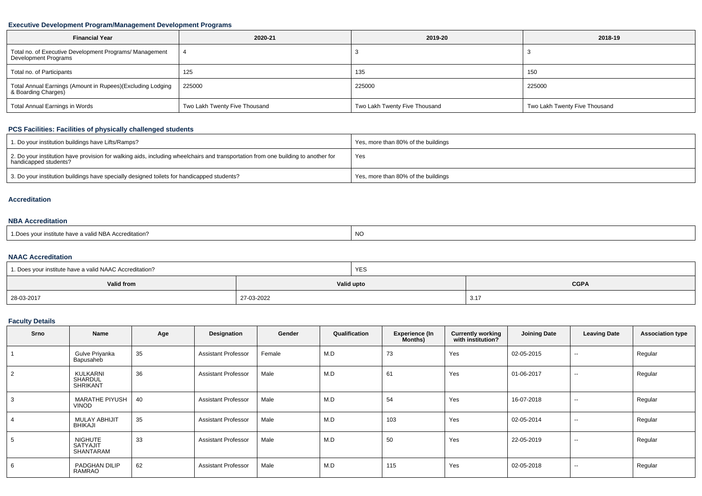#### **Executive Development Program/Management Development Programs**

| <b>Financial Year</b>                                                             | 2020-21                       | 2019-20                       | 2018-19                       |  |
|-----------------------------------------------------------------------------------|-------------------------------|-------------------------------|-------------------------------|--|
| Total no. of Executive Development Programs/ Management<br>Development Programs   |                               |                               |                               |  |
| Total no. of Participants                                                         | 125                           | 135                           | 150                           |  |
| Total Annual Earnings (Amount in Rupees)(Excluding Lodging<br>& Boarding Charges) | 225000                        | 225000                        | 225000                        |  |
| Total Annual Earnings in Words                                                    | Two Lakh Twenty Five Thousand | Two Lakh Twenty Five Thousand | Two Lakh Twenty Five Thousand |  |

# **PCS Facilities: Facilities of physically challenged students**

| 1. Do your institution buildings have Lifts/Ramps?                                                                                                         | Yes, more than 80% of the buildings |
|------------------------------------------------------------------------------------------------------------------------------------------------------------|-------------------------------------|
| 2. Do your institution have provision for walking aids, including wheelchairs and transportation from one building to another for<br>handicapped students? | Yes                                 |
| 3. Do your institution buildings have specially designed toilets for handicapped students?                                                                 | Yes, more than 80% of the buildings |

#### **Accreditation**

#### **NBA Accreditation**

| . NC<br>1. Does your institute have a valid NBA Accreditation? |
|----------------------------------------------------------------|
|----------------------------------------------------------------|

### **NAAC Accreditation**

| 1. Does your institute have a valid NAAC Accreditation? |            | <b>YES</b> |             |  |
|---------------------------------------------------------|------------|------------|-------------|--|
| Valid from                                              | Valid upto |            | <b>CGPA</b> |  |
| 28-03-2017                                              | 27-03-2022 |            | 3.1         |  |

### **Faculty Details**

| Srno | Name                                           | Age | Designation                | Gender | Qualification | <b>Experience (In</b><br>Months) | <b>Currently working</b><br>with institution? | <b>Joining Date</b> | <b>Leaving Date</b>      | <b>Association type</b> |
|------|------------------------------------------------|-----|----------------------------|--------|---------------|----------------------------------|-----------------------------------------------|---------------------|--------------------------|-------------------------|
|      | Gulve Priyanka<br>Bapusaheb                    | 35  | <b>Assistant Professor</b> | Female | M.D           | 73                               | Yes                                           | 02-05-2015          | $\sim$                   | Regular                 |
| 2    | KULKARNI<br>SHARDUL<br><b>SHRIKANT</b>         | 36  | <b>Assistant Professor</b> | Male   | M.D           | 61                               | Yes                                           | 01-06-2017          | $\overline{\phantom{a}}$ | Regular                 |
|      | <b>MARATHE PIYUSH</b><br><b>VINOD</b>          | 40  | <b>Assistant Professor</b> | Male   | M.D           | 54                               | Yes                                           | 16-07-2018          | $\sim$                   | Regular                 |
|      | <b>MULAY ABHIJIT</b><br><b>BHIKAJI</b>         | 35  | <b>Assistant Professor</b> | Male   | M.D           | 103                              | Yes                                           | 02-05-2014          | $\overline{\phantom{a}}$ | Regular                 |
| 5    | <b>NIGHUTE</b><br><b>SATYAJIT</b><br>SHANTARAM | 33  | <b>Assistant Professor</b> | Male   | M.D           | 50                               | Yes                                           | 22-05-2019          | $\sim$                   | Regular                 |
|      | PADGHAN DILIP<br><b>RAMRAO</b>                 | 62  | <b>Assistant Professor</b> | Male   | M.D           | 115                              | Yes                                           | 02-05-2018          | $- -$                    | Regular                 |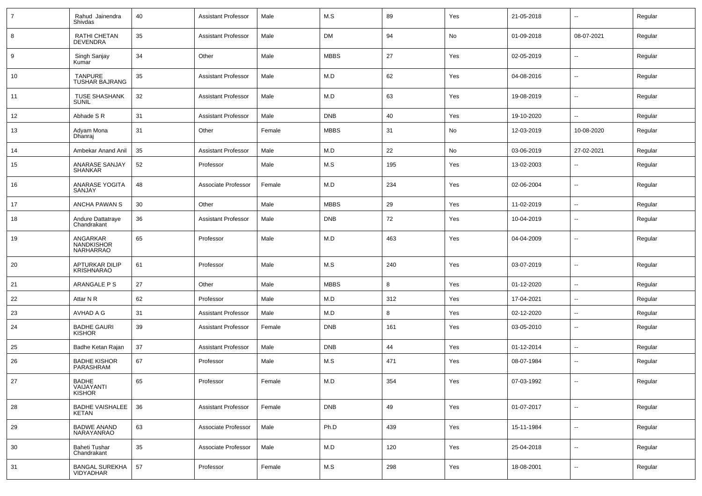| $\overline{7}$ | Rahud Jainendra<br>Shivdas                  | 40 | <b>Assistant Professor</b> | Male   | M.S         | 89  | Yes | 21-05-2018 | ⊶.                       | Regular |
|----------------|---------------------------------------------|----|----------------------------|--------|-------------|-----|-----|------------|--------------------------|---------|
| 8              | RATHI CHETAN<br>DEVENDRA                    | 35 | <b>Assistant Professor</b> | Male   | DM          | 94  | No  | 01-09-2018 | 08-07-2021               | Regular |
| 9              | Singh Sanjay<br>Kumar                       | 34 | Other                      | Male   | <b>MBBS</b> | 27  | Yes | 02-05-2019 | ⊶.                       | Regular |
| 10             | <b>TANPURE</b><br><b>TUSHAR BAJRANG</b>     | 35 | <b>Assistant Professor</b> | Male   | M.D         | 62  | Yes | 04-08-2016 | --                       | Regular |
| 11             | <b>TUSE SHASHANK</b><br><b>SUNIL</b>        | 32 | <b>Assistant Professor</b> | Male   | M.D         | 63  | Yes | 19-08-2019 | ⊶.                       | Regular |
| 12             | Abhade S R                                  | 31 | <b>Assistant Professor</b> | Male   | <b>DNB</b>  | 40  | Yes | 19-10-2020 | $\overline{\phantom{a}}$ | Regular |
| 13             | Adyam Mona<br>Dhanraj                       | 31 | Other                      | Female | <b>MBBS</b> | 31  | No  | 12-03-2019 | 10-08-2020               | Regular |
| 14             | Ambekar Anand Anil                          | 35 | <b>Assistant Professor</b> | Male   | M.D         | 22  | No  | 03-06-2019 | 27-02-2021               | Regular |
| 15             | ANARASE SANJAY<br><b>SHANKAR</b>            | 52 | Professor                  | Male   | M.S         | 195 | Yes | 13-02-2003 | ⊷.                       | Regular |
| 16             | ANARASE YOGITA<br>SANJAY                    | 48 | Associate Professor        | Female | M.D         | 234 | Yes | 02-06-2004 | $\overline{\phantom{a}}$ | Regular |
| 17             | ANCHA PAWAN S                               | 30 | Other                      | Male   | <b>MBBS</b> | 29  | Yes | 11-02-2019 | ⊷.                       | Regular |
| 18             | Andure Dattatraye<br>Chandrakant            | 36 | <b>Assistant Professor</b> | Male   | <b>DNB</b>  | 72  | Yes | 10-04-2019 | --                       | Regular |
| 19             | ANGARKAR<br><b>NANDKISHOR</b><br>NARHARRAO  | 65 | Professor                  | Male   | M.D         | 463 | Yes | 04-04-2009 | ۵.                       | Regular |
| 20             | APTURKAR DILIP<br><b>KRISHNARAO</b>         | 61 | Professor                  | Male   | M.S         | 240 | Yes | 03-07-2019 | $\overline{\phantom{a}}$ | Regular |
| 21             | ARANGALE P S                                | 27 | Other                      | Male   | <b>MBBS</b> | 8   | Yes | 01-12-2020 | ⊷.                       | Regular |
| 22             | Attar N R                                   | 62 | Professor                  | Male   | M.D         | 312 | Yes | 17-04-2021 | $\overline{\phantom{a}}$ | Regular |
| 23             | AVHAD A G                                   | 31 | <b>Assistant Professor</b> | Male   | M.D         | 8   | Yes | 02-12-2020 | -−                       | Regular |
| 24             | <b>BADHE GAURI</b><br><b>KISHOR</b>         | 39 | <b>Assistant Professor</b> | Female | <b>DNB</b>  | 161 | Yes | 03-05-2010 | $\overline{\phantom{a}}$ | Regular |
| 25             | Badhe Ketan Rajan                           | 37 | <b>Assistant Professor</b> | Male   | <b>DNB</b>  | 44  | Yes | 01-12-2014 | ⊷.                       | Regular |
| 26             | <b>BADHE KISHOR</b><br>PARASHRAM            | 67 | Professor                  | Male   | M.S         | 471 | Yes | 08-07-1984 | −−                       | Regular |
| 27             | <b>BADHE</b><br>VAIJAYANTI<br><b>KISHOR</b> | 65 | Professor                  | Female | M.D         | 354 | Yes | 07-03-1992 | -−                       | Regular |
| 28             | <b>BADHE VAISHALEE</b><br><b>KETAN</b>      | 36 | <b>Assistant Professor</b> | Female | <b>DNB</b>  | 49  | Yes | 01-07-2017 | ц.                       | Regular |
| 29             | BADWE ANAND<br>NARAYANRAO                   | 63 | Associate Professor        | Male   | Ph.D        | 439 | Yes | 15-11-1984 | Щ,                       | Regular |
| 30             | Baheti Tushar<br>Chandrakant                | 35 | Associate Professor        | Male   | M.D         | 120 | Yes | 25-04-2018 | Щ,                       | Regular |
| 31             | BANGAL SUREKHA<br>VIDYADHAR                 | 57 | Professor                  | Female | M.S         | 298 | Yes | 18-08-2001 | $\overline{\phantom{a}}$ | Regular |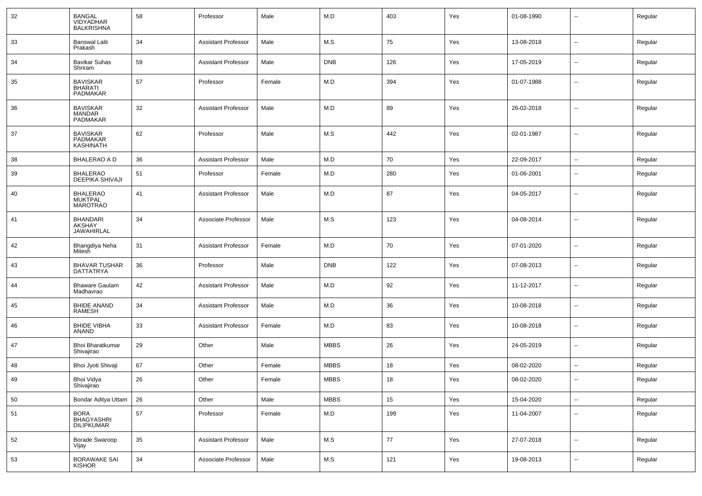| 32 | <b>BANGAL</b><br><b>VIDYADHAR</b><br><b>BALKRISHNA</b> | 58 | Professor                  | Male   | M.D         | 403 | Yes | 01-08-1990 | --                       | Regular |
|----|--------------------------------------------------------|----|----------------------------|--------|-------------|-----|-----|------------|--------------------------|---------|
| 33 | <b>Banswal Lalit</b><br>Prakash                        | 34 | <b>Assistant Professor</b> | Male   | M.S         | 75  | Yes | 13-08-2018 | $\sim$                   | Regular |
| 34 | <b>Bavikar Suhas</b><br>Shriram                        | 59 | <b>Assistant Professor</b> | Male   | <b>DNB</b>  | 126 | Yes | 17-05-2019 | $\sim$                   | Regular |
| 35 | <b>BAVISKAR</b><br><b>BHARATI</b><br>PADMAKAR          | 57 | Professor                  | Female | M.D         | 394 | Yes | 01-07-1988 | $\sim$                   | Regular |
| 36 | <b>BAVISKAR</b><br><b>MANDAR</b><br><b>PADMAKAR</b>    | 32 | <b>Assistant Professor</b> | Male   | M.D         | 89  | Yes | 26-02-2018 | $\overline{\phantom{a}}$ | Regular |
| 37 | <b>BAVISKAR</b><br>PADMAKAR<br><b>KASHINATH</b>        | 62 | Professor                  | Male   | M.S         | 442 | Yes | 02-01-1987 | --                       | Regular |
| 38 | <b>BHALERAO A D</b>                                    | 36 | <b>Assistant Professor</b> | Male   | M.D         | 70  | Yes | 22-09-2017 | $\overline{\phantom{a}}$ | Regular |
| 39 | <b>BHALERAO</b><br><b>DEEPIKA SHIVAJI</b>              | 51 | Professor                  | Female | M.D         | 280 | Yes | 01-06-2001 | --                       | Regular |
| 40 | <b>BHALERAO</b><br>MUKTPAL<br><b>MAROTRAO</b>          | 41 | <b>Assistant Professor</b> | Male   | M.D         | 87  | Yes | 04-05-2017 | $\overline{\phantom{a}}$ | Regular |
| 41 | <b>BHANDARI</b><br>AKSHAY<br><b>JAWAHIRLAL</b>         | 34 | Associate Professor        | Male   | M.S         | 123 | Yes | 04-08-2014 | $\overline{\phantom{a}}$ | Regular |
| 42 | Bhangdiya Neha<br>Mitesh                               | 31 | <b>Assistant Professor</b> | Female | M.D         | 70  | Yes | 07-01-2020 | $\sim$                   | Regular |
| 43 | <b>BHAVAR TUSHAR</b><br><b>DATTATRYA</b>               | 36 | Professor                  | Male   | <b>DNB</b>  | 122 | Yes | 07-08-2013 | $\sim$                   | Regular |
| 44 | <b>Bhaware Gautam</b><br>Madhavrao                     | 42 | <b>Assistant Professor</b> | Male   | M.D         | 92  | Yes | 11-12-2017 | $\overline{\phantom{a}}$ | Regular |
| 45 | <b>BHIDE ANAND</b><br><b>RAMESH</b>                    | 34 | <b>Assistant Professor</b> | Male   | M.D         | 36  | Yes | 10-08-2018 | $\sim$                   | Regular |
| 46 | <b>BHIDE VIBHA</b><br><b>ANAND</b>                     | 33 | <b>Assistant Professor</b> | Female | M.D         | 83  | Yes | 10-08-2018 | $\overline{\phantom{a}}$ | Regular |
| 47 | Bhoi Bharatkumar<br>Shivajirao                         | 29 | Other                      | Male   | <b>MBBS</b> | 26  | Yes | 24-05-2019 | $\sim$                   | Regular |
| 48 | Bhoi Jyoti Shivaji                                     | 67 | Other                      | Female | <b>MBBS</b> | 18  | Yes | 08-02-2020 | $\overline{\phantom{a}}$ | Regular |
| 49 | Bhoi Vidya<br>Shivajirao                               | 26 | Other                      | Female | <b>MBBS</b> | 18  | Yes | 08-02-2020 | $\sim$                   | Regular |
| 50 | Bondar Aditya Uttam                                    | 26 | Other                      | Male   | <b>MBBS</b> | 15  | Yes | 15-04-2020 | $\sim$                   | Regular |
| 51 | BORA<br>BHAGYASHRI<br>DILIPKUMAR                       | 57 | Professor                  | Female | M.D         | 199 | Yes | 11-04-2007 | Щ,                       | Regular |
| 52 | Borade Swaroop<br>Vijay                                | 35 | <b>Assistant Professor</b> | Male   | M.S         | 77  | Yes | 27-07-2018 | $\sim$                   | Regular |
| 53 | BORAWAKE SAI<br>KISHOR                                 | 34 | Associate Professor        | Male   | M.S         | 121 | Yes | 19-08-2013 | $\sim$                   | Regular |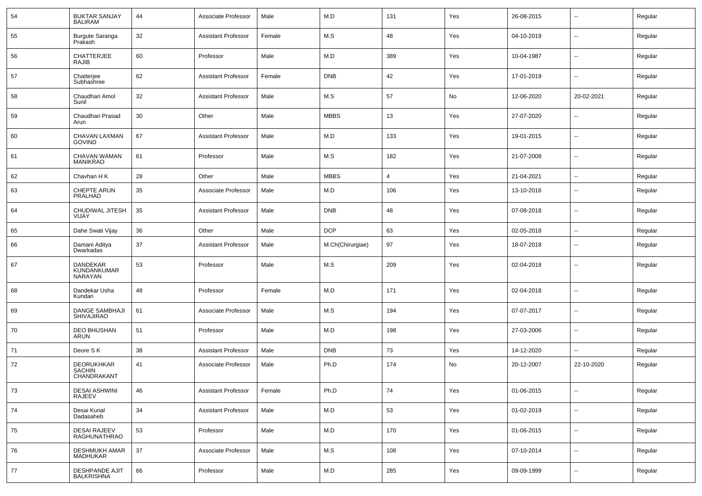| 54 | <b>BUKTAR SANJAY</b><br><b>BALIRAM</b>            | 44 | Associate Professor        | Male   | M.D              | 131 | Yes | 26-08-2015 | $\overline{\phantom{a}}$ | Regular |
|----|---------------------------------------------------|----|----------------------------|--------|------------------|-----|-----|------------|--------------------------|---------|
| 55 | Burgute Saranga<br>Prakash                        | 32 | <b>Assistant Professor</b> | Female | M.S              | 48  | Yes | 04-10-2019 | $\sim$                   | Regular |
| 56 | <b>CHATTERJEE</b><br>RAJIB                        | 60 | Professor                  | Male   | M.D              | 389 | Yes | 10-04-1987 | $\overline{\phantom{a}}$ | Regular |
| 57 | Chatterjee<br>Subhashree                          | 62 | <b>Assistant Professor</b> | Female | <b>DNB</b>       | 42  | Yes | 17-01-2019 | $\sim$                   | Regular |
| 58 | Chaudhari Amol<br>Sunil                           | 32 | <b>Assistant Professor</b> | Male   | M.S              | 57  | No  | 12-06-2020 | 20-02-2021               | Regular |
| 59 | Chaudhari Prasad<br>Arun                          | 30 | Other                      | Male   | <b>MBBS</b>      | 13  | Yes | 27-07-2020 | $\overline{\phantom{a}}$ | Regular |
| 60 | CHAVAN LAXMAN<br><b>GOVIND</b>                    | 67 | <b>Assistant Professor</b> | Male   | M.D              | 133 | Yes | 19-01-2015 | $\overline{\phantom{a}}$ | Regular |
| 61 | CHAVAN WAMAN<br><b>MANIKRAO</b>                   | 61 | Professor                  | Male   | M.S              | 182 | Yes | 21-07-2008 | $\overline{\phantom{a}}$ | Regular |
| 62 | Chavhan H K                                       | 28 | Other                      | Male   | <b>MBBS</b>      | 4   | Yes | 21-04-2021 | $\sim$                   | Regular |
| 63 | CHEPTE ARUN<br>PRALHAD                            | 35 | Associate Professor        | Male   | M.D              | 106 | Yes | 13-10-2016 | --                       | Regular |
| 64 | CHUDIWAL JITESH<br>VIJAY                          | 35 | <b>Assistant Professor</b> | Male   | <b>DNB</b>       | 48  | Yes | 07-08-2018 | --                       | Regular |
| 65 | Dahe Swati Vijay                                  | 36 | Other                      | Male   | <b>DCP</b>       | 63  | Yes | 02-05-2018 | --                       | Regular |
| 66 | Damani Aditya<br>Dwarkadas                        | 37 | <b>Assistant Professor</b> | Male   | M.Ch(Chirurgiae) | 97  | Yes | 18-07-2018 | --                       | Regular |
| 67 | DANDEKAR<br>KUNDANKUMAR<br>NARAYAN                | 53 | Professor                  | Male   | M.S              | 209 | Yes | 02-04-2018 | --                       | Regular |
| 68 | Dandekar Usha<br>Kundan                           | 48 | Professor                  | Female | M.D              | 171 | Yes | 02-04-2018 | --                       | Regular |
| 69 | DANGE SAMBHAJI<br><b>SHIVAJIRAO</b>               | 61 | Associate Professor        | Male   | M.S              | 194 | Yes | 07-07-2017 | --                       | Regular |
| 70 | <b>DEO BHUSHAN</b><br>ARUN                        | 51 | Professor                  | Male   | M.D              | 198 | Yes | 27-03-2006 | --                       | Regular |
| 71 | Deore SK                                          | 38 | <b>Assistant Professor</b> | Male   | <b>DNB</b>       | 73  | Yes | 14-12-2020 | --                       | Regular |
| 72 | <b>DEORUKHKAR</b><br><b>SACHIN</b><br>CHANDRAKANT | 41 | Associate Professor        | Male   | Ph.D             | 174 | No  | 20-12-2007 | 22-10-2020               | Regular |
| 73 | <b>DESAI ASHWINI</b><br>RAJEEV                    | 46 | <b>Assistant Professor</b> | Female | Ph.D             | 74  | Yes | 01-06-2015 | $\overline{\phantom{a}}$ | Regular |
| 74 | Desai Kunal<br>Dadasaheb                          | 34 | Assistant Professor        | Male   | M.D              | 53  | Yes | 01-02-2019 | $\overline{\phantom{a}}$ | Regular |
| 75 | DESAI RAJEEV<br>RAGHUNATHRAO                      | 53 | Professor                  | Male   | M.D              | 170 | Yes | 01-06-2015 | $\overline{\phantom{a}}$ | Regular |
| 76 | <b>DESHMUKH AMAR</b><br><b>MADHUKAR</b>           | 37 | Associate Professor        | Male   | M.S              | 108 | Yes | 07-10-2014 | $\overline{\phantom{a}}$ | Regular |
| 77 | <b>DESHPANDE AJIT</b><br><b>BALKRISHNA</b>        | 66 | Professor                  | Male   | M.D              | 285 | Yes | 09-09-1999 | --                       | Regular |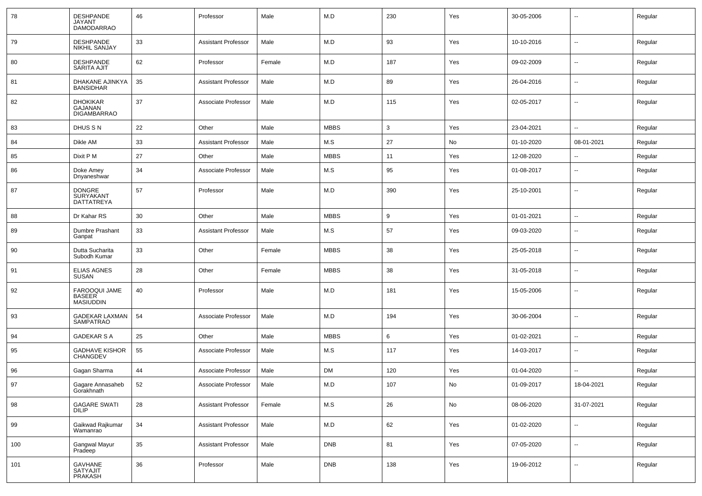| 78  | <b>DESHPANDE</b><br><b>JAYANT</b><br><b>DAMODARRAO</b> | 46 | Professor                  | Male   | M.D         | 230 | Yes | 30-05-2006 | --                       | Regular |
|-----|--------------------------------------------------------|----|----------------------------|--------|-------------|-----|-----|------------|--------------------------|---------|
| 79  | <b>DESHPANDE</b><br>NIKHIL SANJAY                      | 33 | <b>Assistant Professor</b> | Male   | M.D         | 93  | Yes | 10-10-2016 | $\overline{\phantom{a}}$ | Regular |
| 80  | <b>DESHPANDE</b><br><b>SARITA AJIT</b>                 | 62 | Professor                  | Female | M.D         | 187 | Yes | 09-02-2009 | $\overline{\phantom{a}}$ | Regular |
| 81  | DHAKANE AJINKYA<br><b>BANSIDHAR</b>                    | 35 | <b>Assistant Professor</b> | Male   | M.D         | 89  | Yes | 26-04-2016 | $\overline{\phantom{a}}$ | Regular |
| 82  | <b>DHOKIKAR</b><br>GAJANAN<br><b>DIGAMBARRAO</b>       | 37 | Associate Professor        | Male   | M.D         | 115 | Yes | 02-05-2017 | $\overline{\phantom{a}}$ | Regular |
| 83  | DHUS S N                                               | 22 | Other                      | Male   | <b>MBBS</b> | 3   | Yes | 23-04-2021 | $\overline{a}$           | Regular |
| 84  | Dikle AM                                               | 33 | <b>Assistant Professor</b> | Male   | M.S         | 27  | No  | 01-10-2020 | 08-01-2021               | Regular |
| 85  | Dixit P M                                              | 27 | Other                      | Male   | <b>MBBS</b> | 11  | Yes | 12-08-2020 | $\overline{\phantom{a}}$ | Regular |
| 86  | Doke Amey<br>Dnyaneshwar                               | 34 | Associate Professor        | Male   | M.S         | 95  | Yes | 01-08-2017 | --                       | Regular |
| 87  | <b>DONGRE</b><br>SURYAKANT<br>DATTATREYA               | 57 | Professor                  | Male   | M.D         | 390 | Yes | 25-10-2001 | $\overline{\phantom{a}}$ | Regular |
| 88  | Dr Kahar RS                                            | 30 | Other                      | Male   | <b>MBBS</b> | 9   | Yes | 01-01-2021 | ⊷.                       | Regular |
| 89  | Dumbre Prashant<br>Ganpat                              | 33 | <b>Assistant Professor</b> | Male   | M.S         | 57  | Yes | 09-03-2020 | $\overline{\phantom{a}}$ | Regular |
| 90  | Dutta Sucharita<br>Subodh Kumar                        | 33 | Other                      | Female | <b>MBBS</b> | 38  | Yes | 25-05-2018 | --                       | Regular |
| 91  | <b>ELIAS AGNES</b><br>SUSAN                            | 28 | Other                      | Female | <b>MBBS</b> | 38  | Yes | 31-05-2018 | $\overline{\phantom{a}}$ | Regular |
| 92  | FAROOQUI JAME<br><b>BASEER</b><br><b>MASIUDDIN</b>     | 40 | Professor                  | Male   | M.D         | 181 | Yes | 15-05-2006 | --                       | Regular |
| 93  | <b>GADEKAR LAXMAN</b><br><b>SAMPATRAO</b>              | 54 | Associate Professor        | Male   | M.D         | 194 | Yes | 30-06-2004 | $\overline{\phantom{a}}$ | Regular |
| 94  | <b>GADEKAR S A</b>                                     | 25 | Other                      | Male   | <b>MBBS</b> | 6   | Yes | 01-02-2021 | ⊷.                       | Regular |
| 95  | <b>GADHAVE KISHOR</b><br>CHANGDEV                      | 55 | Associate Professor        | Male   | M.S         | 117 | Yes | 14-03-2017 | $\overline{\phantom{a}}$ | Regular |
| 96  | Gagan Sharma                                           | 44 | Associate Professor        | Male   | <b>DM</b>   | 120 | Yes | 01-04-2020 | --                       | Regular |
| 97  | Gagare Annasaheb<br>Gorakhnath                         | 52 | Associate Professor        | Male   | M.D         | 107 | No  | 01-09-2017 | 18-04-2021               | Regular |
| 98  | GAGARE SWATI<br>DILIP                                  | 28 | <b>Assistant Professor</b> | Female | M.S         | 26  | No  | 08-06-2020 | 31-07-2021               | Regular |
| 99  | Gaikwad Rajkumar<br>Wamanrao                           | 34 | <b>Assistant Professor</b> | Male   | M.D         | 62  | Yes | 01-02-2020 | $\sim$                   | Regular |
| 100 | Gangwal Mayur<br>Pradeep                               | 35 | <b>Assistant Professor</b> | Male   | <b>DNB</b>  | 81  | Yes | 07-05-2020 | $\sim$                   | Regular |
| 101 | GAVHANE<br>SATYAJIT<br>PRAKASH                         | 36 | Professor                  | Male   | <b>DNB</b>  | 138 | Yes | 19-06-2012 | Щ,                       | Regular |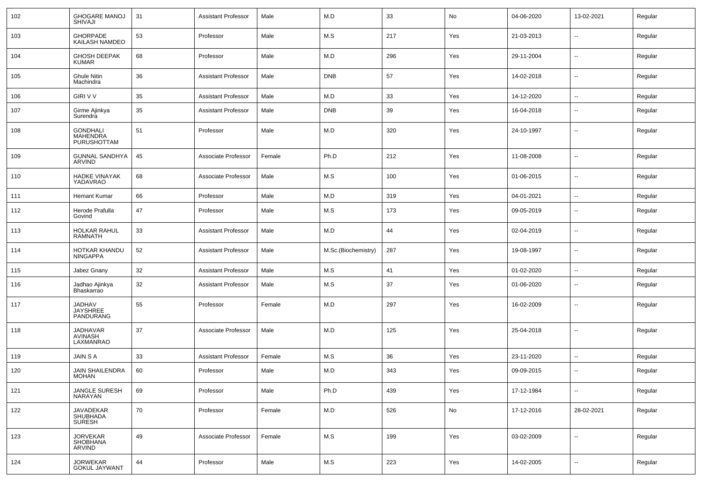| 102 | <b>GHOGARE MANOJ</b><br><b>SHIVAJI</b>        | 31 | <b>Assistant Professor</b> | Male   | M.D                 | 33  | No  | 04-06-2020 | 13-02-2021               | Regular |
|-----|-----------------------------------------------|----|----------------------------|--------|---------------------|-----|-----|------------|--------------------------|---------|
| 103 | GHORPADE<br>KAILASH NAMDEO                    | 53 | Professor                  | Male   | M.S                 | 217 | Yes | 21-03-2013 | $\sim$                   | Regular |
| 104 | GHOSH DEEPAK<br><b>KUMAR</b>                  | 68 | Professor                  | Male   | M.D                 | 296 | Yes | 29-11-2004 | $\sim$                   | Regular |
| 105 | Ghule Nitin<br>Machindra                      | 36 | Assistant Professor        | Male   | <b>DNB</b>          | 57  | Yes | 14-02-2018 | $\sim$                   | Regular |
| 106 | <b>GIRI V V</b>                               | 35 | <b>Assistant Professor</b> | Male   | M.D                 | 33  | Yes | 14-12-2020 | $\sim$                   | Regular |
| 107 | Girme Ajinkya<br>Surendra                     | 35 | <b>Assistant Professor</b> | Male   | <b>DNB</b>          | 39  | Yes | 16-04-2018 | $\overline{\phantom{a}}$ | Regular |
| 108 | <b>GONDHALI</b><br>MAHENDRA<br>PURUSHOTTAM    | 51 | Professor                  | Male   | M.D                 | 320 | Yes | 24-10-1997 | $\mathbf{u}$             | Regular |
| 109 | <b>GUNNAL SANDHYA</b><br>ARVIND               | 45 | Associate Professor        | Female | Ph.D                | 212 | Yes | 11-08-2008 | $\sim$                   | Regular |
| 110 | <b>HADKE VINAYAK</b><br>YADAVRAO              | 68 | Associate Professor        | Male   | M.S                 | 100 | Yes | 01-06-2015 | $\sim$                   | Regular |
| 111 | <b>Hemant Kumar</b>                           | 66 | Professor                  | Male   | M.D                 | 319 | Yes | 04-01-2021 | $\sim$                   | Regular |
| 112 | Herode Prafulla<br>Govind                     | 47 | Professor                  | Male   | M.S                 | 173 | Yes | 09-05-2019 | $\overline{\phantom{a}}$ | Regular |
| 113 | <b>HOLKAR RAHUL</b><br><b>RAMNATH</b>         | 33 | Assistant Professor        | Male   | M.D                 | 44  | Yes | 02-04-2019 | --                       | Regular |
| 114 | HOTKAR KHANDU<br><b>NINGAPPA</b>              | 52 | <b>Assistant Professor</b> | Male   | M.Sc.(Biochemistry) | 287 | Yes | 19-08-1997 | $\overline{\phantom{a}}$ | Regular |
| 115 | Jabez Gnany                                   | 32 | <b>Assistant Professor</b> | Male   | M.S                 | 41  | Yes | 01-02-2020 | $\sim$                   | Regular |
| 116 | Jadhao Ajinkya<br>Bhaskarrao                  | 32 | <b>Assistant Professor</b> | Male   | M.S                 | 37  | Yes | 01-06-2020 | $\overline{\phantom{a}}$ | Regular |
| 117 | <b>JADHAV</b><br><b>JAYSHREE</b><br>PANDURANG | 55 | Professor                  | Female | M.D                 | 297 | Yes | 16-02-2009 | $\overline{\phantom{a}}$ | Regular |
| 118 | JADHAVAR<br><b>AVINASH</b><br>LAXMANRAO       | 37 | Associate Professor        | Male   | M.D                 | 125 | Yes | 25-04-2018 | --                       | Regular |
| 119 | <b>JAIN S A</b>                               | 33 | Assistant Professor        | Female | M.S                 | 36  | Yes | 23-11-2020 | $\sim$                   | Regular |
| 120 | JAIN SHAILENDRA<br><b>MOHAN</b>               | 60 | Professor                  | Male   | M.D                 | 343 | Yes | 09-09-2015 | --                       | Regular |
| 121 | JANGLE SURESH<br><b>NARAYAN</b>               | 69 | Professor                  | Male   | Ph.D                | 439 | Yes | 17-12-1984 | $\sim$                   | Regular |
| 122 | JAVADEKAR<br>SHUBHADA<br><b>SURESH</b>        | 70 | Professor                  | Female | M.D                 | 526 | No  | 17-12-2016 | 28-02-2021               | Regular |
| 123 | <b>JORVEKAR</b><br><b>SHOBHANA</b><br>ARVIND  | 49 | Associate Professor        | Female | M.S                 | 199 | Yes | 03-02-2009 | $\sim$                   | Regular |
| 124 | <b>JORWEKAR</b><br><b>GOKUL JAYWANT</b>       | 44 | Professor                  | Male   | M.S                 | 223 | Yes | 14-02-2005 | $\sim$                   | Regular |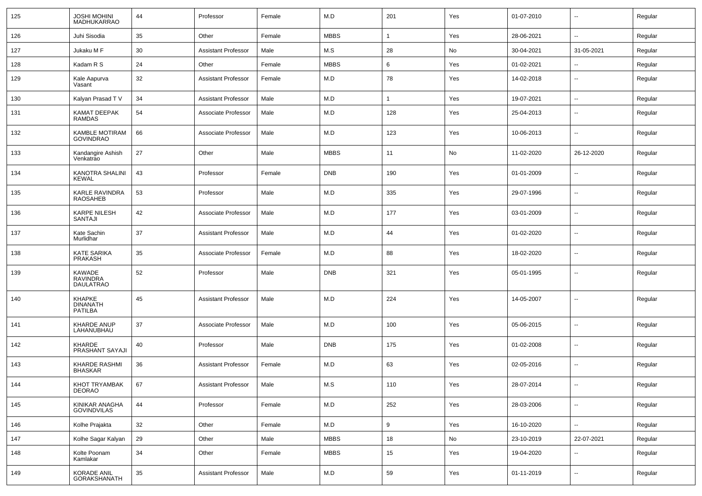| 125 | <b>JOSHI MOHINI</b><br><b>MADHUKARRAO</b>            | 44 | Professor                  | Female | M.D         | 201 | Yes | 01-07-2010 | $\sim$                   | Regular |
|-----|------------------------------------------------------|----|----------------------------|--------|-------------|-----|-----|------------|--------------------------|---------|
| 126 | Juhi Sisodia                                         | 35 | Other                      | Female | <b>MBBS</b> | 1   | Yes | 28-06-2021 | $\sim$                   | Regular |
| 127 | Jukaku M F                                           | 30 | <b>Assistant Professor</b> | Male   | M.S         | 28  | No  | 30-04-2021 | 31-05-2021               | Regular |
| 128 | Kadam R S                                            | 24 | Other                      | Female | <b>MBBS</b> | 6   | Yes | 01-02-2021 | $\overline{\phantom{a}}$ | Regular |
| 129 | Kale Aapurva<br>Vasant                               | 32 | <b>Assistant Professor</b> | Female | M.D         | 78  | Yes | 14-02-2018 | $\overline{\phantom{a}}$ | Regular |
| 130 | Kalyan Prasad T V                                    | 34 | <b>Assistant Professor</b> | Male   | M.D         | 1   | Yes | 19-07-2021 | $\sim$                   | Regular |
| 131 | KAMAT DEEPAK<br><b>RAMDAS</b>                        | 54 | Associate Professor        | Male   | M.D         | 128 | Yes | 25-04-2013 | $\overline{\phantom{a}}$ | Regular |
| 132 | KAMBLE MOTIRAM<br><b>GOVINDRAO</b>                   | 66 | Associate Professor        | Male   | M.D         | 123 | Yes | 10-06-2013 | $\overline{\phantom{a}}$ | Regular |
| 133 | Kandangire Ashish<br>Venkatrao                       | 27 | Other                      | Male   | <b>MBBS</b> | 11  | No  | 11-02-2020 | 26-12-2020               | Regular |
| 134 | KANOTRA SHALINI<br><b>KEWAL</b>                      | 43 | Professor                  | Female | <b>DNB</b>  | 190 | Yes | 01-01-2009 | $\overline{\phantom{a}}$ | Regular |
| 135 | KARLE RAVINDRA<br><b>RAOSAHEB</b>                    | 53 | Professor                  | Male   | M.D         | 335 | Yes | 29-07-1996 | $\overline{\phantom{a}}$ | Regular |
| 136 | <b>KARPE NILESH</b><br>SANTAJI                       | 42 | Associate Professor        | Male   | M.D         | 177 | Yes | 03-01-2009 | $\overline{\phantom{a}}$ | Regular |
| 137 | Kate Sachin<br>Murlidhar                             | 37 | <b>Assistant Professor</b> | Male   | M.D         | 44  | Yes | 01-02-2020 | $\overline{\phantom{a}}$ | Regular |
| 138 | KATE SARIKA<br><b>PRAKASH</b>                        | 35 | Associate Professor        | Female | M.D         | 88  | Yes | 18-02-2020 | $\overline{\phantom{a}}$ | Regular |
| 139 | <b>KAWADE</b><br><b>RAVINDRA</b><br><b>DAULATRAO</b> | 52 | Professor                  | Male   | <b>DNB</b>  | 321 | Yes | 05-01-1995 | $\overline{\phantom{a}}$ | Regular |
| 140 | <b>KHAPKE</b><br><b>DINANATH</b><br><b>PATILBA</b>   | 45 | <b>Assistant Professor</b> | Male   | M.D         | 224 | Yes | 14-05-2007 | $\overline{\phantom{a}}$ | Regular |
| 141 | KHARDE ANUP<br>LAHANUBHAU                            | 37 | Associate Professor        | Male   | M.D         | 100 | Yes | 05-06-2015 | $\overline{\phantom{a}}$ | Regular |
| 142 | KHARDE<br>PRASHANT SAYAJI                            | 40 | Professor                  | Male   | <b>DNB</b>  | 175 | Yes | 01-02-2008 | $\overline{\phantom{a}}$ | Regular |
| 143 | <b>KHARDE RASHMI</b><br><b>BHASKAR</b>               | 36 | <b>Assistant Professor</b> | Female | M.D         | 63  | Yes | 02-05-2016 | $\overline{\phantom{a}}$ | Regular |
| 144 | KHOT TRYAMBAK<br><b>DEORAO</b>                       | 67 | Assistant Professor        | Male   | M.S         | 110 | Yes | 28-07-2014 | $\overline{\phantom{a}}$ | Regular |
| 145 | KINIKAR ANAGHA<br>GOVINDVILAS                        | 44 | Professor                  | Female | M.D         | 252 | Yes | 28-03-2006 | $\overline{\phantom{a}}$ | Regular |
| 146 | Kolhe Prajakta                                       | 32 | Other                      | Female | M.D         | 9   | Yes | 16-10-2020 | $\overline{\phantom{a}}$ | Regular |
| 147 | Kolhe Sagar Kalyan                                   | 29 | Other                      | Male   | <b>MBBS</b> | 18  | No  | 23-10-2019 | 22-07-2021               | Regular |
| 148 | Kolte Poonam<br>Kamlakar                             | 34 | Other                      | Female | <b>MBBS</b> | 15  | Yes | 19-04-2020 | $\overline{\phantom{a}}$ | Regular |
| 149 | KORADE ANIL<br><b>GORAKSHANATH</b>                   | 35 | <b>Assistant Professor</b> | Male   | M.D         | 59  | Yes | 01-11-2019 | $\overline{\phantom{a}}$ | Regular |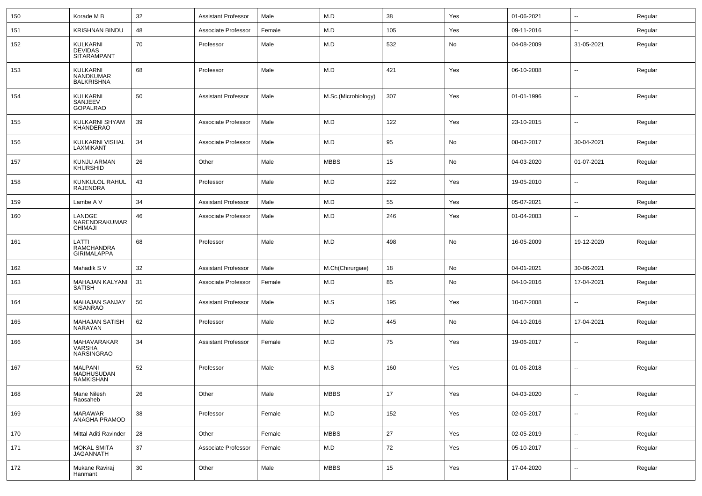| 150 | Korade M B                                       | 32 | <b>Assistant Professor</b> | Male   | M.D                 | 38  | Yes | 01-06-2021 | $\sim$                   | Regular |
|-----|--------------------------------------------------|----|----------------------------|--------|---------------------|-----|-----|------------|--------------------------|---------|
| 151 | <b>KRISHNAN BINDU</b>                            | 48 | Associate Professor        | Female | M.D                 | 105 | Yes | 09-11-2016 | $\mathbf{u}$             | Regular |
| 152 | KULKARNI<br><b>DEVIDAS</b><br><b>SITARAMPANT</b> | 70 | Professor                  | Male   | M.D                 | 532 | No  | 04-08-2009 | 31-05-2021               | Regular |
| 153 | KULKARNI<br>NANDKUMAR<br><b>BALKRISHNA</b>       | 68 | Professor                  | Male   | M.D                 | 421 | Yes | 06-10-2008 | $\overline{a}$           | Regular |
| 154 | KULKARNI<br>SANJEEV<br><b>GOPALRAO</b>           | 50 | <b>Assistant Professor</b> | Male   | M.Sc.(Microbiology) | 307 | Yes | 01-01-1996 | $\mathbf{u}$             | Regular |
| 155 | KULKARNI SHYAM<br><b>KHANDERAO</b>               | 39 | Associate Professor        | Male   | M.D                 | 122 | Yes | 23-10-2015 | $\mathbf{u}$             | Regular |
| 156 | KULKARNI VISHAL<br>LAXMIKANT                     | 34 | Associate Professor        | Male   | M.D                 | 95  | No  | 08-02-2017 | 30-04-2021               | Regular |
| 157 | KUNJU ARMAN<br><b>KHURSHID</b>                   | 26 | Other                      | Male   | <b>MBBS</b>         | 15  | No  | 04-03-2020 | 01-07-2021               | Regular |
| 158 | KUNKULOL RAHUL<br>RAJENDRA                       | 43 | Professor                  | Male   | M.D                 | 222 | Yes | 19-05-2010 | $\sim$                   | Regular |
| 159 | Lambe A V                                        | 34 | <b>Assistant Professor</b> | Male   | M.D                 | 55  | Yes | 05-07-2021 | $\sim$                   | Regular |
| 160 | LANDGE<br>NARENDRAKUMAR<br><b>CHIMAJI</b>        | 46 | Associate Professor        | Male   | M.D                 | 246 | Yes | 01-04-2003 | $\overline{\phantom{a}}$ | Regular |
| 161 | LATTI<br>RAMCHANDRA<br><b>GIRIMALAPPA</b>        | 68 | Professor                  | Male   | M.D                 | 498 | No  | 16-05-2009 | 19-12-2020               | Regular |
| 162 | Mahadik S V                                      | 32 | <b>Assistant Professor</b> | Male   | M.Ch(Chirurgiae)    | 18  | No  | 04-01-2021 | 30-06-2021               | Regular |
| 163 | MAHAJAN KALYANI<br><b>SATISH</b>                 | 31 | Associate Professor        | Female | M.D                 | 85  | No  | 04-10-2016 | 17-04-2021               | Regular |
| 164 | MAHAJAN SANJAY<br><b>KISANRAO</b>                | 50 | <b>Assistant Professor</b> | Male   | M.S                 | 195 | Yes | 10-07-2008 | $\mathbf{u}$             | Regular |
| 165 | <b>MAHAJAN SATISH</b><br>NARAYAN                 | 62 | Professor                  | Male   | M.D                 | 445 | No  | 04-10-2016 | 17-04-2021               | Regular |
| 166 | MAHAVARAKAR<br>VARSHA<br><b>NARSINGRAO</b>       | 34 | <b>Assistant Professor</b> | Female | M.D                 | 75  | Yes | 19-06-2017 | $\mathbf{u}$             | Regular |
| 167 | <b>MALPANI</b><br>MADHUSUDAN<br>RAMKISHAN        | 52 | Professor                  | Male   | M.S                 | 160 | Yes | 01-06-2018 | $\overline{a}$           | Regular |
| 168 | Mane Nilesh<br>Raosaheb                          | 26 | Other                      | Male   | <b>MBBS</b>         | 17  | Yes | 04-03-2020 | $\mathbf{u}$             | Regular |
| 169 | MARAWAR<br>ANAGHA PRAMOD                         | 38 | Professor                  | Female | M.D                 | 152 | Yes | 02-05-2017 | $\sim$                   | Regular |
| 170 | Mittal Aditi Ravinder                            | 28 | Other                      | Female | <b>MBBS</b>         | 27  | Yes | 02-05-2019 | $\sim$                   | Regular |
| 171 | <b>MOKAL SMITA</b><br><b>JAGANNATH</b>           | 37 | Associate Professor        | Female | M.D                 | 72  | Yes | 05-10-2017 | $\sim$                   | Regular |
| 172 | Mukane Raviraj<br>Hanmant                        | 30 | Other                      | Male   | <b>MBBS</b>         | 15  | Yes | 17-04-2020 | $\sim$                   | Regular |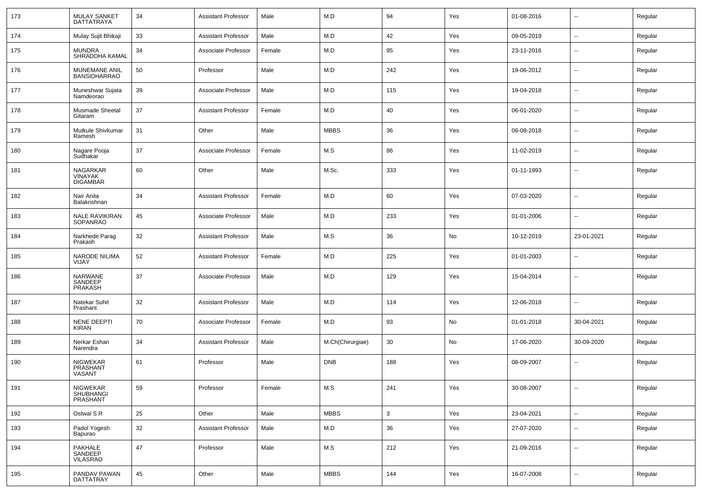| 173 | <b>MULAY SANKET</b><br><b>DATTATRAYA</b>             | 34 | <b>Assistant Professor</b> | Male   | M.D              | 94  | Yes | 01-08-2016 | $\sim$                   | Regular |
|-----|------------------------------------------------------|----|----------------------------|--------|------------------|-----|-----|------------|--------------------------|---------|
| 174 | Mulay Sujit Bhikaji                                  | 33 | <b>Assistant Professor</b> | Male   | M.D              | 42  | Yes | 09-05-2019 | $\sim$                   | Regular |
| 175 | <b>MUNDRA</b><br>SHRADDHA KAMAL                      | 34 | Associate Professor        | Female | M.D              | 95  | Yes | 23-11-2016 | $\overline{\phantom{a}}$ | Regular |
| 176 | MUNEMANE ANIL<br><b>BANSIDHARRAO</b>                 | 50 | Professor                  | Male   | M.D              | 242 | Yes | 19-06-2012 | $\mathbf{u}$             | Regular |
| 177 | Muneshwar Sujata<br>Namdeorao                        | 39 | Associate Professor        | Male   | M.D              | 115 | Yes | 19-04-2018 | $\overline{\phantom{a}}$ | Regular |
| 178 | Musmade Sheetal<br>Gitaram                           | 37 | <b>Assistant Professor</b> | Female | M.D              | 40  | Yes | 06-01-2020 | $\mathbf{u}$             | Regular |
| 179 | Mutkule Shivkumar<br>Ramesh                          | 31 | Other                      | Male   | <b>MBBS</b>      | 36  | Yes | 06-08-2018 | $\overline{\phantom{a}}$ | Regular |
| 180 | Nagare Pooja<br>Sudhakar                             | 37 | Associate Professor        | Female | M.S              | 86  | Yes | 11-02-2019 | $\overline{\phantom{a}}$ | Regular |
| 181 | <b>NAGARKAR</b><br><b>VINAYAK</b><br><b>DIGAMBAR</b> | 60 | Other                      | Male   | M.Sc.            | 333 | Yes | 01-11-1993 | --                       | Regular |
| 182 | Nair Anita<br>Balakrishnan                           | 34 | <b>Assistant Professor</b> | Female | M.D              | 60  | Yes | 07-03-2020 | $\sim$                   | Regular |
| 183 | <b>NALE RAVIKIRAN</b><br><b>SOPANRAO</b>             | 45 | Associate Professor        | Male   | M.D              | 233 | Yes | 01-01-2006 | $\sim$                   | Regular |
| 184 | Narkhede Parag<br>Prakash                            | 32 | <b>Assistant Professor</b> | Male   | M.S              | 36  | No  | 10-12-2019 | 23-01-2021               | Regular |
| 185 | <b>NARODE NILIMA</b><br>VIJAY                        | 52 | <b>Assistant Professor</b> | Female | M.D              | 225 | Yes | 01-01-2003 | $\sim$                   | Regular |
| 186 | <b>NARWANE</b><br>SANDEEP<br>PRAKASH                 | 37 | Associate Professor        | Male   | M.D              | 129 | Yes | 15-04-2014 | $\sim$                   | Regular |
| 187 | Natekar Suhit<br>Prashant                            | 32 | <b>Assistant Professor</b> | Male   | M.D              | 114 | Yes | 12-06-2018 | $\mathbf{u}$             | Regular |
| 188 | NENE DEEPTI<br><b>KIRAN</b>                          | 70 | Associate Professor        | Female | M.D              | 93  | No  | 01-01-2018 | 30-04-2021               | Regular |
| 189 | Nerkar Eshan<br>Narendra                             | 34 | <b>Assistant Professor</b> | Male   | M.Ch(Chirurgiae) | 30  | No  | 17-06-2020 | 30-09-2020               | Regular |
| 190 | <b>NIGWEKAR</b><br>PRASHANT<br>VASANT                | 61 | Professor                  | Male   | <b>DNB</b>       | 188 | Yes | 08-09-2007 | $\overline{\phantom{a}}$ | Regular |
| 191 | NIGWEKAR<br>SHUBHANGI<br>PRASHANT                    | 59 | Professor                  | Female | M.S              | 241 | Yes | 30-08-2007 | $\sim$                   | Regular |
| 192 | Ostwal S R                                           | 25 | Other                      | Male   | <b>MBBS</b>      | 3   | Yes | 23-04-2021 | $\sim$                   | Regular |
| 193 | Padol Yogesh<br>Bapurao                              | 32 | <b>Assistant Professor</b> | Male   | M.D              | 36  | Yes | 27-07-2020 | $\sim$                   | Regular |
| 194 | PAKHALE<br>SANDEEP<br>VILASRAO                       | 47 | Professor                  | Male   | M.S              | 212 | Yes | 21-09-2016 | $\overline{\phantom{a}}$ | Regular |
| 195 | PANDAV PAWAN<br>DATTATRAY                            | 45 | Other                      | Male   | <b>MBBS</b>      | 144 | Yes | 16-07-2008 | $\overline{\phantom{a}}$ | Regular |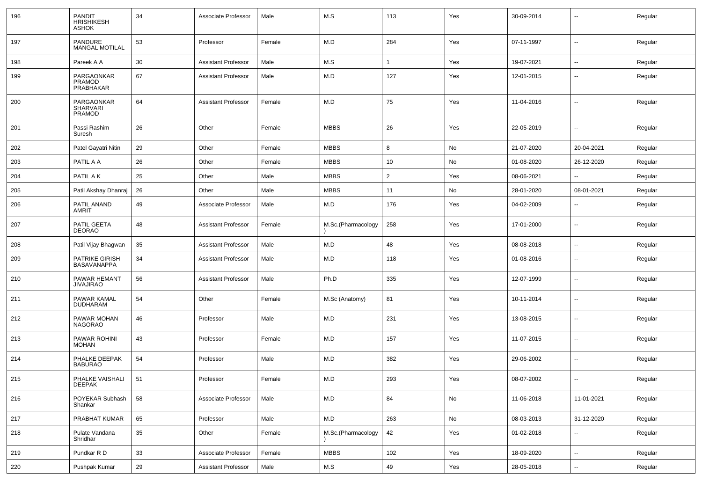| 196 | <b>PANDIT</b><br><b>HRISHIKESH</b><br><b>ASHOK</b> | 34 | Associate Professor        | Male   | M.S                | 113            | Yes | 30-09-2014 |                          | Regular |
|-----|----------------------------------------------------|----|----------------------------|--------|--------------------|----------------|-----|------------|--------------------------|---------|
| 197 | PANDURE<br><b>MANGAL MOTILAL</b>                   | 53 | Professor                  | Female | M.D                | 284            | Yes | 07-11-1997 | $\overline{a}$           | Regular |
| 198 | Pareek A A                                         | 30 | <b>Assistant Professor</b> | Male   | M.S                |                | Yes | 19-07-2021 | $\sim$                   | Regular |
| 199 | PARGAONKAR<br>PRAMOD<br>PRABHAKAR                  | 67 | <b>Assistant Professor</b> | Male   | M.D                | 127            | Yes | 12-01-2015 | --                       | Regular |
| 200 | PARGAONKAR<br><b>SHARVARI</b><br>PRAMOD            | 64 | <b>Assistant Professor</b> | Female | M.D                | 75             | Yes | 11-04-2016 | $\overline{\phantom{a}}$ | Regular |
| 201 | Passi Rashim<br>Suresh                             | 26 | Other                      | Female | <b>MBBS</b>        | 26             | Yes | 22-05-2019 | $\overline{\phantom{a}}$ | Regular |
| 202 | Patel Gayatri Nitin                                | 29 | Other                      | Female | <b>MBBS</b>        | 8              | No  | 21-07-2020 | 20-04-2021               | Regular |
| 203 | PATIL A A                                          | 26 | Other                      | Female | <b>MBBS</b>        | 10             | No  | 01-08-2020 | 26-12-2020               | Regular |
| 204 | PATIL A K                                          | 25 | Other                      | Male   | <b>MBBS</b>        | $\overline{2}$ | Yes | 08-06-2021 |                          | Regular |
| 205 | Patil Akshay Dhanraj                               | 26 | Other                      | Male   | <b>MBBS</b>        | 11             | No  | 28-01-2020 | 08-01-2021               | Regular |
| 206 | PATIL ANAND<br>AMRIT                               | 49 | Associate Professor        | Male   | M.D                | 176            | Yes | 04-02-2009 | --                       | Regular |
| 207 | PATIL GEETA<br><b>DEORAO</b>                       | 48 | <b>Assistant Professor</b> | Female | M.Sc.(Pharmacology | 258            | Yes | 17-01-2000 | $\overline{\phantom{a}}$ | Regular |
| 208 | Patil Vijay Bhagwan                                | 35 | <b>Assistant Professor</b> | Male   | M.D                | 48             | Yes | 08-08-2018 | $\sim$                   | Regular |
| 209 | <b>PATRIKE GIRISH</b><br><b>BASAVANAPPA</b>        | 34 | <b>Assistant Professor</b> | Male   | M.D                | 118            | Yes | 01-08-2016 | --                       | Regular |
| 210 | PAWAR HEMANT<br><b>JIVAJIRAO</b>                   | 56 | <b>Assistant Professor</b> | Male   | Ph.D               | 335            | Yes | 12-07-1999 | --                       | Regular |
| 211 | PAWAR KAMAL<br><b>DUDHARAM</b>                     | 54 | Other                      | Female | M.Sc (Anatomy)     | 81             | Yes | 10-11-2014 | --                       | Regular |
| 212 | PAWAR MOHAN<br><b>NAGORAO</b>                      | 46 | Professor                  | Male   | M.D                | 231            | Yes | 13-08-2015 | --                       | Regular |
| 213 | PAWAR ROHINI<br><b>MOHAN</b>                       | 43 | Professor                  | Female | M.D                | 157            | Yes | 11-07-2015 | --                       | Regular |
| 214 | PHALKE DEEPAK<br><b>BABURAO</b>                    | 54 | Professor                  | Male   | M.D                | 382            | Yes | 29-06-2002 | --                       | Regular |
| 215 | PHALKE VAISHALI<br><b>DEEPAK</b>                   | 51 | Professor                  | Female | M.D                | 293            | Yes | 08-07-2002 | --                       | Regular |
| 216 | POYEKAR Subhash<br>Shankar                         | 58 | Associate Professor        | Male   | M.D                | 84             | No  | 11-06-2018 | 11-01-2021               | Regular |
| 217 | PRABHAT KUMAR                                      | 65 | Professor                  | Male   | M.D                | 263            | No  | 08-03-2013 | 31-12-2020               | Regular |
| 218 | Pulate Vandana<br>Shridhar                         | 35 | Other                      | Female | M.Sc.(Pharmacology | 42             | Yes | 01-02-2018 | $\sim$                   | Regular |
| 219 | Pundkar R D                                        | 33 | Associate Professor        | Female | <b>MBBS</b>        | 102            | Yes | 18-09-2020 | $\ddot{\phantom{a}}$     | Regular |
| 220 | Pushpak Kumar                                      | 29 | <b>Assistant Professor</b> | Male   | M.S                | 49             | Yes | 28-05-2018 | $\sim$                   | Regular |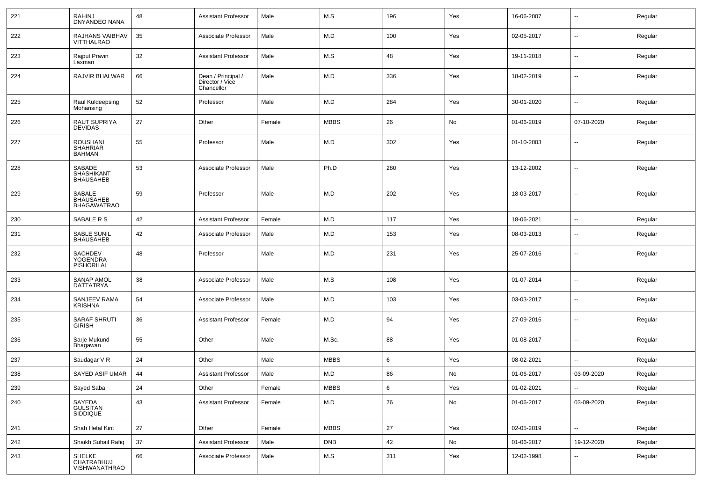| 221 | <b>RAHINJ</b><br><b>DNYANDEO NANA</b>               | 48     | <b>Assistant Professor</b>                          | Male   | M.S         | 196 | Yes           | 16-06-2007 | $\sim$                   | Regular |
|-----|-----------------------------------------------------|--------|-----------------------------------------------------|--------|-------------|-----|---------------|------------|--------------------------|---------|
| 222 | RAJHANS VAIBHAV<br><b>VITTHALRAO</b>                | 35     | Associate Professor                                 | Male   | M.D         | 100 | Yes           | 02-05-2017 | $\overline{\phantom{a}}$ | Regular |
| 223 | Rajput Pravin<br>Laxman                             | 32     | Assistant Professor                                 | Male   | M.S         | 48  | Yes           | 19-11-2018 | $\overline{\phantom{a}}$ | Regular |
| 224 | RAJVIR BHALWAR                                      | 66     | Dean / Principal /<br>Director / Vice<br>Chancellor | Male   | M.D         | 336 | Yes           | 18-02-2019 | $\overline{\phantom{a}}$ | Regular |
| 225 | Raul Kuldeepsing<br>Mohansing                       | 52     | Professor                                           | Male   | M.D         | 284 | Yes           | 30-01-2020 | $\sim$                   | Regular |
| 226 | <b>RAUT SUPRIYA</b><br><b>DEVIDAS</b>               | 27     | Other                                               | Female | <b>MBBS</b> | 26  | No            | 01-06-2019 | 07-10-2020               | Regular |
| 227 | <b>ROUSHANI</b><br><b>SHAHRIAR</b><br><b>BAHMAN</b> | 55     | Professor                                           | Male   | M.D         | 302 | Yes           | 01-10-2003 | $\overline{\phantom{a}}$ | Regular |
| 228 | SABADE<br>SHASHIKANT<br><b>BHAUSAHEB</b>            | 53     | Associate Professor                                 | Male   | Ph.D        | 280 | Yes           | 13-12-2002 | $\sim$                   | Regular |
| 229 | SABALE<br><b>BHAUSAHEB</b><br><b>BHAGAWATRAO</b>    | 59     | Professor                                           | Male   | M.D         | 202 | Yes           | 18-03-2017 | $\overline{\phantom{a}}$ | Regular |
| 230 | SABALE R S                                          | 42     | <b>Assistant Professor</b>                          | Female | M.D         | 117 | Yes           | 18-06-2021 | $\sim$                   | Regular |
| 231 | SABLE SUNIL<br><b>BHAUSAHEB</b>                     | 42     | Associate Professor                                 | Male   | M.D         | 153 | Yes           | 08-03-2013 | $\sim$                   | Regular |
| 232 | SACHDEV<br>YOGENDRA<br>PISHORILAL                   | 48     | Professor                                           | Male   | M.D         | 231 | Yes           | 25-07-2016 | $\overline{\phantom{a}}$ | Regular |
| 233 | SANAP AMOL<br>DATTATRYA                             | 38     | Associate Professor                                 | Male   | M.S         | 108 | Yes           | 01-07-2014 | $\overline{\phantom{a}}$ | Regular |
| 234 | SANJEEV RAMA<br>KRISHNA                             | 54     | Associate Professor                                 | Male   | M.D         | 103 | Yes           | 03-03-2017 | $\overline{\phantom{a}}$ | Regular |
| 235 | SARAF SHRUTI<br><b>GIRISH</b>                       | 36     | <b>Assistant Professor</b>                          | Female | M.D         | 94  | Yes           | 27-09-2016 | $\overline{\phantom{a}}$ | Regular |
| 236 | Sarje Mukund<br>Bhagawan                            | 55     | Other                                               | Male   | M.Sc.       | 88  | Yes           | 01-08-2017 | $\overline{\phantom{a}}$ | Regular |
| 237 | Saudagar V R                                        | 24     | Other                                               | Male   | <b>MBBS</b> | 6   | Yes           | 08-02-2021 | $\overline{\phantom{a}}$ | Regular |
| 238 | SAYED ASIF UMAR                                     | 44     | <b>Assistant Professor</b>                          | Male   | M.D         | 86  | No            | 01-06-2017 | 03-09-2020               | Regular |
| 239 | Sayed Saba                                          | 24     | Other                                               | Female | <b>MBBS</b> | 6   | Yes           | 01-02-2021 | $\overline{\phantom{a}}$ | Regular |
| 240 | SAYEDA<br>GULSITAN<br>SIDDIQUE                      | 43     | <b>Assistant Professor</b>                          | Female | M.D         | 76  | $\mathsf{No}$ | 01-06-2017 | 03-09-2020               | Regular |
| 241 | Shah Hetal Kirit                                    | 27     | Other                                               | Female | <b>MBBS</b> | 27  | Yes           | 02-05-2019 | $\sim$                   | Regular |
| 242 | Shaikh Suhail Rafiq                                 | $37\,$ | <b>Assistant Professor</b>                          | Male   | <b>DNB</b>  | 42  | No            | 01-06-2017 | 19-12-2020               | Regular |
| 243 | SHELKE<br>CHATRABHUJ<br>VISHWANATHRAO               | 66     | Associate Professor                                 | Male   | M.S         | 311 | Yes           | 12-02-1998 | $\overline{\phantom{a}}$ | Regular |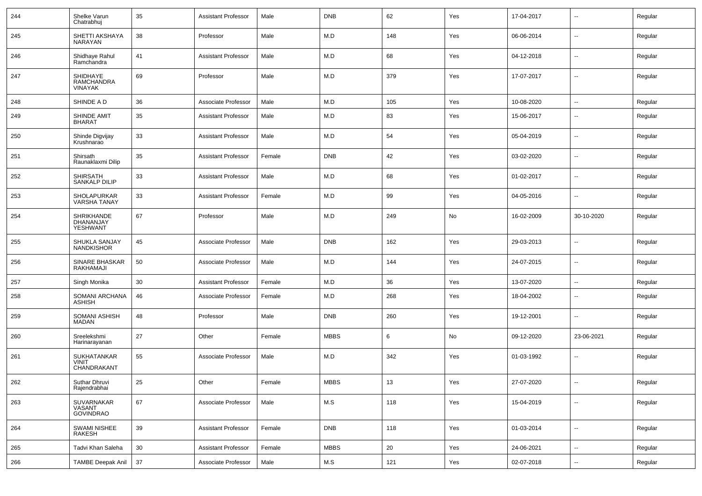| 244 | Shelke Varun<br>Chatrabhuj                        | 35              | <b>Assistant Professor</b> | Male   | <b>DNB</b>  | 62  | Yes | 17-04-2017 | $\overline{\phantom{a}}$ | Regular |
|-----|---------------------------------------------------|-----------------|----------------------------|--------|-------------|-----|-----|------------|--------------------------|---------|
| 245 | SHETTI AKSHAYA<br>NARAYAN                         | 38              | Professor                  | Male   | M.D         | 148 | Yes | 06-06-2014 | $\overline{\phantom{a}}$ | Regular |
| 246 | Shidhaye Rahul<br>Ramchandra                      | 41              | <b>Assistant Professor</b> | Male   | M.D         | 68  | Yes | 04-12-2018 | $\overline{\phantom{a}}$ | Regular |
| 247 | SHIDHAYE<br>RAMCHANDRA<br><b>VINAYAK</b>          | 69              | Professor                  | Male   | M.D         | 379 | Yes | 17-07-2017 | $\overline{\phantom{a}}$ | Regular |
| 248 | SHINDE A D                                        | 36              | Associate Professor        | Male   | M.D         | 105 | Yes | 10-08-2020 | ⊷.                       | Regular |
| 249 | SHINDE AMIT<br><b>BHARAT</b>                      | 35              | <b>Assistant Professor</b> | Male   | M.D         | 83  | Yes | 15-06-2017 | $\overline{\phantom{a}}$ | Regular |
| 250 | Shinde Digvijay<br>Krushnarao                     | 33              | <b>Assistant Professor</b> | Male   | M.D         | 54  | Yes | 05-04-2019 | $\overline{\phantom{a}}$ | Regular |
| 251 | Shirsath<br>Raunaklaxmi Dilip                     | 35              | <b>Assistant Professor</b> | Female | <b>DNB</b>  | 42  | Yes | 03-02-2020 | $\overline{\phantom{a}}$ | Regular |
| 252 | SHIRSATH<br>SANKALP DILIP                         | 33              | <b>Assistant Professor</b> | Male   | M.D         | 68  | Yes | 01-02-2017 | $\overline{\phantom{a}}$ | Regular |
| 253 | SHOLAPURKAR<br>VARSHA TANAY                       | 33              | <b>Assistant Professor</b> | Female | M.D         | 99  | Yes | 04-05-2016 | $\overline{\phantom{a}}$ | Regular |
| 254 | SHRIKHANDE<br>DHANANJAY<br>YESHWANT               | 67              | Professor                  | Male   | M.D         | 249 | No  | 16-02-2009 | 30-10-2020               | Regular |
| 255 | SHUKLA SANJAY<br><b>NANDKISHOR</b>                | 45              | Associate Professor        | Male   | <b>DNB</b>  | 162 | Yes | 29-03-2013 | $\overline{\phantom{a}}$ | Regular |
| 256 | SINARE BHASKAR<br><b>RAKHAMAJI</b>                | 50              | Associate Professor        | Male   | M.D         | 144 | Yes | 24-07-2015 | $\overline{\phantom{a}}$ | Regular |
| 257 | Singh Monika                                      | 30              | <b>Assistant Professor</b> | Female | M.D         | 36  | Yes | 13-07-2020 | $\sim$                   | Regular |
| 258 | SOMANI ARCHANA<br><b>ASHISH</b>                   | 46              | Associate Professor        | Female | M.D         | 268 | Yes | 18-04-2002 | $\overline{\phantom{a}}$ | Regular |
| 259 | SOMANI ASHISH<br><b>MADAN</b>                     | 48              | Professor                  | Male   | <b>DNB</b>  | 260 | Yes | 19-12-2001 | $\overline{\phantom{a}}$ | Regular |
| 260 | Sreelekshmi<br>Harinarayanan                      | 27              | Other                      | Female | <b>MBBS</b> | 6   | No  | 09-12-2020 | 23-06-2021               | Regular |
| 261 | <b>SUKHATANKAR</b><br><b>VINIT</b><br>CHANDRAKANT | 55              | Associate Professor        | Male   | M.D         | 342 | Yes | 01-03-1992 | $\overline{\phantom{a}}$ | Regular |
| 262 | Suthar Dhruvi<br>Rajendrabhai                     | 25              | Other                      | Female | MBBS        | 13  | Yes | 27-07-2020 | $\overline{\phantom{a}}$ | Regular |
| 263 | SUVARNAKAR<br>VASANT<br><b>GOVINDRAO</b>          | 67              | Associate Professor        | Male   | M.S         | 118 | Yes | 15-04-2019 | $\sim$                   | Regular |
| 264 | SWAMI NISHEE<br>RAKESH                            | 39              | <b>Assistant Professor</b> | Female | <b>DNB</b>  | 118 | Yes | 01-03-2014 | $\sim$                   | Regular |
| 265 | Tadvi Khan Saleha                                 | 30 <sup>°</sup> | <b>Assistant Professor</b> | Female | <b>MBBS</b> | 20  | Yes | 24-06-2021 | $\bar{\phantom{a}}$      | Regular |
| 266 | <b>TAMBE Deepak Anil</b>                          | 37              | Associate Professor        | Male   | M.S         | 121 | Yes | 02-07-2018 | $\sim$                   | Regular |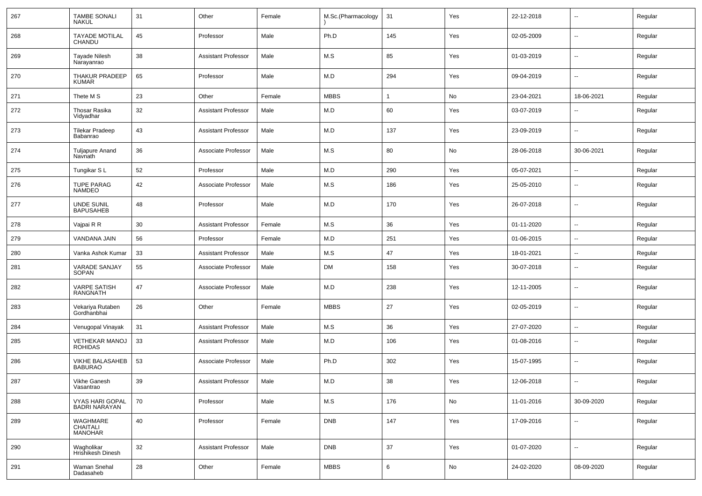| 267 | <b>TAMBE SONALI</b><br><b>NAKUL</b>            | 31 | Other                      | Female | M.Sc.(Pharmacology | 31           | Yes | 22-12-2018 | $\mathbf{u}$             | Regular |
|-----|------------------------------------------------|----|----------------------------|--------|--------------------|--------------|-----|------------|--------------------------|---------|
| 268 | <b>TAYADE MOTILAL</b><br>CHANDU                | 45 | Professor                  | Male   | Ph.D               | 145          | Yes | 02-05-2009 | $\sim$                   | Regular |
| 269 | <b>Tayade Nilesh</b><br>Narayanrao             | 38 | <b>Assistant Professor</b> | Male   | M.S                | 85           | Yes | 01-03-2019 | $\sim$                   | Regular |
| 270 | THAKUR PRADEEP<br><b>KUMAR</b>                 | 65 | Professor                  | Male   | M.D                | 294          | Yes | 09-04-2019 | $\sim$                   | Regular |
| 271 | Thete M S                                      | 23 | Other                      | Female | <b>MBBS</b>        | $\mathbf{1}$ | No  | 23-04-2021 | 18-06-2021               | Regular |
| 272 | Thosar Rasika<br>Vidyadhar                     | 32 | Assistant Professor        | Male   | M.D                | 60           | Yes | 03-07-2019 | --                       | Regular |
| 273 | <b>Tilekar Pradeep</b><br>Babanrao             | 43 | Assistant Professor        | Male   | M.D                | 137          | Yes | 23-09-2019 | --                       | Regular |
| 274 | <b>Tuljapure Anand</b><br>Navnath              | 36 | Associate Professor        | Male   | M.S                | 80           | No  | 28-06-2018 | 30-06-2021               | Regular |
| 275 | Tungikar SL                                    | 52 | Professor                  | Male   | M.D                | 290          | Yes | 05-07-2021 | --                       | Regular |
| 276 | <b>TUPE PARAG</b><br><b>NAMDEO</b>             | 42 | Associate Professor        | Male   | M.S                | 186          | Yes | 25-05-2010 | $\overline{\phantom{a}}$ | Regular |
| 277 | <b>UNDE SUNIL</b><br><b>BAPUSAHEB</b>          | 48 | Professor                  | Male   | M.D                | 170          | Yes | 26-07-2018 | $\overline{\phantom{a}}$ | Regular |
| 278 | Vajpai R R                                     | 30 | <b>Assistant Professor</b> | Female | M.S                | 36           | Yes | 01-11-2020 | $\mathbf{u}$             | Regular |
| 279 | VANDANA JAIN                                   | 56 | Professor                  | Female | M.D                | 251          | Yes | 01-06-2015 | $\overline{\phantom{a}}$ | Regular |
| 280 | Vanka Ashok Kumar                              | 33 | <b>Assistant Professor</b> | Male   | M.S                | 47           | Yes | 18-01-2021 | $\overline{\phantom{a}}$ | Regular |
| 281 | VARADE SANJAY<br><b>SOPAN</b>                  | 55 | Associate Professor        | Male   | <b>DM</b>          | 158          | Yes | 30-07-2018 | $\mathbf{u}$             | Regular |
| 282 | <b>VARPE SATISH</b><br><b>RANGNATH</b>         | 47 | Associate Professor        | Male   | M.D                | 238          | Yes | 12-11-2005 | $\mathbf{u}$             | Regular |
| 283 | Vekariya Rutaben<br>Gordhanbhai                | 26 | Other                      | Female | <b>MBBS</b>        | 27           | Yes | 02-05-2019 | $\mathbf{u}$             | Regular |
| 284 | Venugopal Vinayak                              | 31 | <b>Assistant Professor</b> | Male   | M.S                | 36           | Yes | 27-07-2020 | $\mathbf{u}$             | Regular |
| 285 | <b>VETHEKAR MANOJ</b><br><b>ROHIDAS</b>        | 33 | Assistant Professor        | Male   | M.D                | 106          | Yes | 01-08-2016 | $\sim$                   | Regular |
| 286 | <b>VIKHE BALASAHEB</b><br><b>BABURAO</b>       | 53 | Associate Professor        | Male   | Ph.D               | 302          | Yes | 15-07-1995 | $\mathbf{u}$             | Regular |
| 287 | Vikhe Ganesh<br>Vasantrao                      | 39 | Assistant Professor        | Male   | M.D                | 38           | Yes | 12-06-2018 | $\mathbf{u}$             | Regular |
| 288 | <b>VYAS HARI GOPAL</b><br><b>BADRI NARAYAN</b> | 70 | Professor                  | Male   | M.S                | 176          | No  | 11-01-2016 | 30-09-2020               | Regular |
| 289 | WAGHMARE<br>CHAITALI<br><b>MANOHAR</b>         | 40 | Professor                  | Female | <b>DNB</b>         | 147          | Yes | 17-09-2016 | $\sim$                   | Regular |
| 290 | Wagholikar<br>Hrishikesh Dinesh                | 32 | <b>Assistant Professor</b> | Male   | <b>DNB</b>         | 37           | Yes | 01-07-2020 | $\sim$                   | Regular |
| 291 | Waman Snehal<br>Dadasaheb                      | 28 | Other                      | Female | <b>MBBS</b>        | 6            | No  | 24-02-2020 | 08-09-2020               | Regular |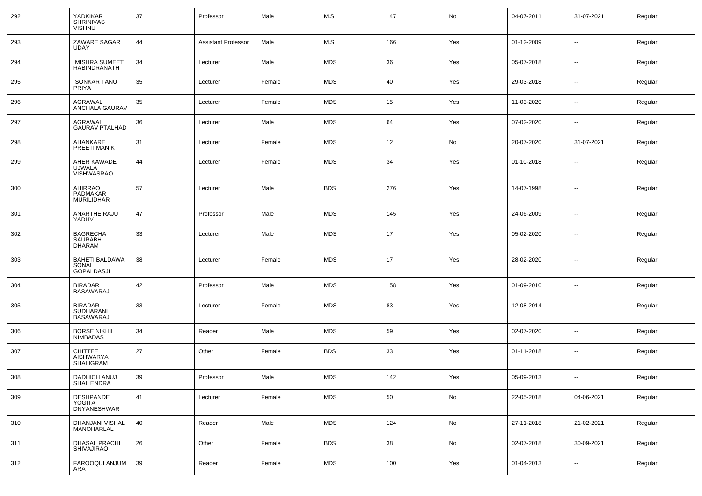| 292 | YADKIKAR<br><b>SHRINIVAS</b><br><b>VISHNU</b>          | 37 | Professor                  | Male   | M.S        | 147 | No  | 04-07-2011 | 31-07-2021               | Regular |
|-----|--------------------------------------------------------|----|----------------------------|--------|------------|-----|-----|------------|--------------------------|---------|
| 293 | ZAWARE SAGAR<br><b>UDAY</b>                            | 44 | <b>Assistant Professor</b> | Male   | M.S        | 166 | Yes | 01-12-2009 | $\overline{\phantom{a}}$ | Regular |
| 294 | <b>MISHRA SUMEET</b><br><b>RABINDRANATH</b>            | 34 | Lecturer                   | Male   | <b>MDS</b> | 36  | Yes | 05-07-2018 | $\sim$                   | Regular |
| 295 | SONKAR TANU<br>PRIYA                                   | 35 | Lecturer                   | Female | <b>MDS</b> | 40  | Yes | 29-03-2018 | $\overline{\phantom{a}}$ | Regular |
| 296 | AGRAWAL<br>ANCHALA GAURAV                              | 35 | Lecturer                   | Female | <b>MDS</b> | 15  | Yes | 11-03-2020 | $\overline{\phantom{a}}$ | Regular |
| 297 | AGRAWAL<br><b>GAURAV PTALHAD</b>                       | 36 | Lecturer                   | Male   | <b>MDS</b> | 64  | Yes | 07-02-2020 | $\overline{\phantom{a}}$ | Regular |
| 298 | AHANKARE<br>PREETI MANIK                               | 31 | Lecturer                   | Female | <b>MDS</b> | 12  | No  | 20-07-2020 | 31-07-2021               | Regular |
| 299 | AHER KAWADE<br><b>UJWALA</b><br><b>VISHWASRAO</b>      | 44 | Lecturer                   | Female | <b>MDS</b> | 34  | Yes | 01-10-2018 | $\overline{\phantom{a}}$ | Regular |
| 300 | AHIRRAO<br>PADMAKAR<br><b>MURILIDHAR</b>               | 57 | Lecturer                   | Male   | <b>BDS</b> | 276 | Yes | 14-07-1998 | $\mathbf{u}$             | Regular |
| 301 | ANARTHE RAJU<br>YADHV                                  | 47 | Professor                  | Male   | <b>MDS</b> | 145 | Yes | 24-06-2009 | --                       | Regular |
| 302 | <b>BAGRECHA</b><br>SAURABH<br><b>DHARAM</b>            | 33 | Lecturer                   | Male   | <b>MDS</b> | 17  | Yes | 05-02-2020 | --                       | Regular |
| 303 | <b>BAHETI BALDAWA</b><br>SONAL<br><b>GOPALDASJI</b>    | 38 | Lecturer                   | Female | <b>MDS</b> | 17  | Yes | 28-02-2020 | $\overline{\phantom{a}}$ | Regular |
| 304 | <b>BIRADAR</b><br><b>BASAWARAJ</b>                     | 42 | Professor                  | Male   | <b>MDS</b> | 158 | Yes | 01-09-2010 | $\mathbf{u}$             | Regular |
| 305 | <b>BIRADAR</b><br><b>SUDHARANI</b><br><b>BASAWARAJ</b> | 33 | Lecturer                   | Female | <b>MDS</b> | 83  | Yes | 12-08-2014 | $\mathbf{u}$             | Regular |
| 306 | <b>BORSE NIKHIL</b><br><b>NIMBADAS</b>                 | 34 | Reader                     | Male   | <b>MDS</b> | 59  | Yes | 02-07-2020 | --                       | Regular |
| 307 | <b>CHITTEE</b><br>AISHWARYA<br>SHALIGRAM               | 27 | Other                      | Female | <b>BDS</b> | 33  | Yes | 01-11-2018 | $\overline{\phantom{a}}$ | Regular |
| 308 | <b>DADHICH ANUJ</b><br>SHAILENDRA                      | 39 | Professor                  | Male   | <b>MDS</b> | 142 | Yes | 05-09-2013 | $\overline{\phantom{a}}$ | Regular |
| 309 | <b>DESHPANDE</b><br>YOGITA<br><b>DNYANESHWAR</b>       | 41 | Lecturer                   | Female | <b>MDS</b> | 50  | No  | 22-05-2018 | 04-06-2021               | Regular |
| 310 | DHANJANI VISHAL<br>MANOHARLAL                          | 40 | Reader                     | Male   | <b>MDS</b> | 124 | No  | 27-11-2018 | 21-02-2021               | Regular |
| 311 | DHASAL PRACHI<br><b>SHIVAJIRAO</b>                     | 26 | Other                      | Female | <b>BDS</b> | 38  | No  | 02-07-2018 | 30-09-2021               | Regular |
| 312 | FAROOQUI ANJUM<br><b>ARA</b>                           | 39 | Reader                     | Female | <b>MDS</b> | 100 | Yes | 01-04-2013 | $\sim$                   | Regular |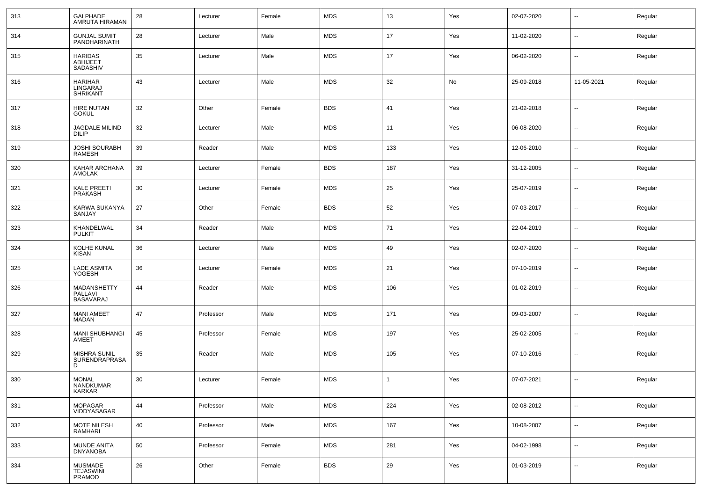| 313 | GALPHADE<br>AMRUTA HIRAMAN                    | 28 | Lecturer  | Female | <b>MDS</b> | 13           | Yes | 02-07-2020 | н.                       | Regular |
|-----|-----------------------------------------------|----|-----------|--------|------------|--------------|-----|------------|--------------------------|---------|
| 314 | <b>GUNJAL SUMIT<br/>PANDHARINATH</b>          | 28 | Lecturer  | Male   | <b>MDS</b> | 17           | Yes | 11-02-2020 | н.                       | Regular |
| 315 | <b>HARIDAS</b><br><b>ABHIJEET</b><br>SADASHIV | 35 | Lecturer  | Male   | <b>MDS</b> | 17           | Yes | 06-02-2020 | н.                       | Regular |
| 316 | <b>HARIHAR</b><br>LINGARAJ<br><b>SHRIKANT</b> | 43 | Lecturer  | Male   | <b>MDS</b> | 32           | No  | 25-09-2018 | 11-05-2021               | Regular |
| 317 | <b>HIRE NUTAN</b><br><b>GOKUL</b>             | 32 | Other     | Female | <b>BDS</b> | 41           | Yes | 21-02-2018 | -−                       | Regular |
| 318 | <b>JAGDALE MILIND</b><br><b>DILIP</b>         | 32 | Lecturer  | Male   | <b>MDS</b> | 11           | Yes | 06-08-2020 | $\overline{\phantom{a}}$ | Regular |
| 319 | JOSHI SOURABH<br><b>RAMESH</b>                | 39 | Reader    | Male   | <b>MDS</b> | 133          | Yes | 12-06-2010 | --                       | Regular |
| 320 | KAHAR ARCHANA<br>AMOLAK                       | 39 | Lecturer  | Female | <b>BDS</b> | 187          | Yes | 31-12-2005 | --                       | Regular |
| 321 | KALE PREETI<br><b>PRAKASH</b>                 | 30 | Lecturer  | Female | <b>MDS</b> | 25           | Yes | 25-07-2019 | --                       | Regular |
| 322 | KARWA SUKANYA<br>SANJAY                       | 27 | Other     | Female | <b>BDS</b> | 52           | Yes | 07-03-2017 | -−                       | Regular |
| 323 | KHANDELWAL<br><b>PULKIT</b>                   | 34 | Reader    | Male   | <b>MDS</b> | 71           | Yes | 22-04-2019 | -−                       | Regular |
| 324 | KOLHE KUNAL<br><b>KISAN</b>                   | 36 | Lecturer  | Male   | <b>MDS</b> | 49           | Yes | 02-07-2020 | --                       | Regular |
| 325 | <b>LADE ASMITA</b><br>YOGESH                  | 36 | Lecturer  | Female | <b>MDS</b> | 21           | Yes | 07-10-2019 | --                       | Regular |
| 326 | MADANSHETTY<br>PALLAVI<br><b>BASAVARAJ</b>    | 44 | Reader    | Male   | <b>MDS</b> | 106          | Yes | 01-02-2019 | --                       | Regular |
| 327 | <b>MANI AMEET</b><br><b>MADAN</b>             | 47 | Professor | Male   | <b>MDS</b> | 171          | Yes | 09-03-2007 | --                       | Regular |
| 328 | <b>MANI SHUBHANGI</b><br>AMEET                | 45 | Professor | Female | <b>MDS</b> | 197          | Yes | 25-02-2005 | $\overline{\phantom{a}}$ | Regular |
| 329 | MISHRA SUNIL<br><b>SURENDRAPRASA</b><br>D     | 35 | Reader    | Male   | <b>MDS</b> | 105          | Yes | 07-10-2016 | ⊷.                       | Regular |
| 330 | <b>MONAL</b><br>NANDKUMAR<br><b>KARKAR</b>    | 30 | Lecturer  | Female | <b>MDS</b> | $\mathbf{1}$ | Yes | 07-07-2021 | $\sim$                   | Regular |
| 331 | MOPAGAR<br>VIDDYASAGAR                        | 44 | Professor | Male   | <b>MDS</b> | 224          | Yes | 02-08-2012 | н.                       | Regular |
| 332 | MOTE NILESH<br>RAMHARI                        | 40 | Professor | Male   | <b>MDS</b> | 167          | Yes | 10-08-2007 | н.                       | Regular |
| 333 | MUNDE ANITA<br><b>DNYANOBA</b>                | 50 | Professor | Female | <b>MDS</b> | 281          | Yes | 04-02-1998 | н.                       | Regular |
| 334 | MUSMADE<br>TEJASWINI<br>PRAMOD                | 26 | Other     | Female | <b>BDS</b> | 29           | Yes | 01-03-2019 | н.                       | Regular |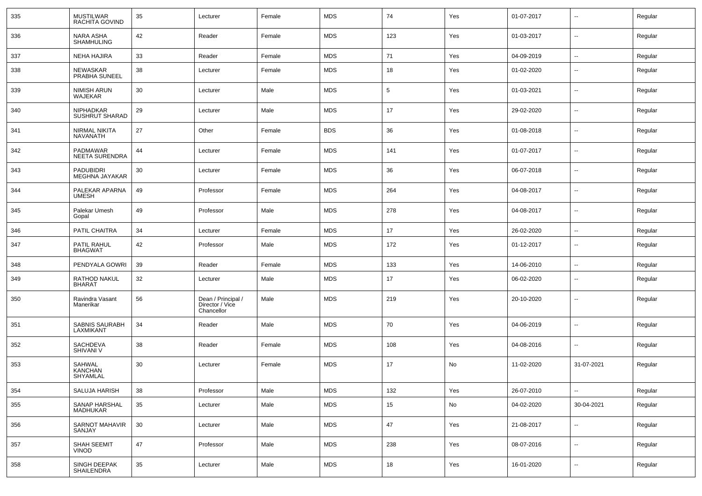| 335 | <b>MUSTILWAR</b><br>RACHITA GOVIND        | 35 | Lecturer                                            | Female | <b>MDS</b> | 74  | Yes | 01-07-2017 | $\overline{\phantom{a}}$ | Regular |
|-----|-------------------------------------------|----|-----------------------------------------------------|--------|------------|-----|-----|------------|--------------------------|---------|
| 336 | NARA ASHA<br>SHAMHULING                   | 42 | Reader                                              | Female | <b>MDS</b> | 123 | Yes | 01-03-2017 | $\sim$                   | Regular |
| 337 | <b>NEHA HAJIRA</b>                        | 33 | Reader                                              | Female | <b>MDS</b> | 71  | Yes | 04-09-2019 | $\sim$                   | Regular |
| 338 | NEWASKAR<br>PRABHA SUNEEL                 | 38 | Lecturer                                            | Female | MDS        | 18  | Yes | 01-02-2020 | $\overline{\phantom{a}}$ | Regular |
| 339 | NIMISH ARUN<br>WAJEKAR                    | 30 | Lecturer                                            | Male   | <b>MDS</b> | 5   | Yes | 01-03-2021 | $\overline{\phantom{a}}$ | Regular |
| 340 | <b>NIPHADKAR</b><br><b>SUSHRUT SHARAD</b> | 29 | Lecturer                                            | Male   | <b>MDS</b> | 17  | Yes | 29-02-2020 | $\overline{\phantom{a}}$ | Regular |
| 341 | NIRMAL NIKITA<br>NAVANATH                 | 27 | Other                                               | Female | <b>BDS</b> | 36  | Yes | 01-08-2018 | $\overline{\phantom{a}}$ | Regular |
| 342 | PADMAWAR<br><b>NEETA SURENDRA</b>         | 44 | Lecturer                                            | Female | <b>MDS</b> | 141 | Yes | 01-07-2017 | $\overline{\phantom{a}}$ | Regular |
| 343 | <b>PADUBIDRI</b><br>MEGHNA JAYAKAR        | 30 | Lecturer                                            | Female | MDS        | 36  | Yes | 06-07-2018 | $\overline{\phantom{a}}$ | Regular |
| 344 | PALEKAR APARNA<br><b>UMESH</b>            | 49 | Professor                                           | Female | <b>MDS</b> | 264 | Yes | 04-08-2017 | $\overline{\phantom{a}}$ | Regular |
| 345 | Palekar Umesh<br>Gopal                    | 49 | Professor                                           | Male   | <b>MDS</b> | 278 | Yes | 04-08-2017 | $\overline{\phantom{a}}$ | Regular |
| 346 | PATIL CHAITRA                             | 34 | Lecturer                                            | Female | MDS        | 17  | Yes | 26-02-2020 | $\overline{\phantom{a}}$ | Regular |
| 347 | PATIL RAHUL<br><b>BHAGWAT</b>             | 42 | Professor                                           | Male   | <b>MDS</b> | 172 | Yes | 01-12-2017 | $\overline{\phantom{a}}$ | Regular |
| 348 | PENDYALA GOWRI                            | 39 | Reader                                              | Female | <b>MDS</b> | 133 | Yes | 14-06-2010 | $\overline{\phantom{a}}$ | Regular |
| 349 | RATHOD NAKUL<br><b>BHARAT</b>             | 32 | Lecturer                                            | Male   | <b>MDS</b> | 17  | Yes | 06-02-2020 | $\overline{\phantom{a}}$ | Regular |
| 350 | Ravindra Vasant<br>Manerikar              | 56 | Dean / Principal /<br>Director / Vice<br>Chancellor | Male   | <b>MDS</b> | 219 | Yes | 20-10-2020 | $\overline{\phantom{a}}$ | Regular |
| 351 | SABNIS SAURABH<br>LAXMIKANT               | 34 | Reader                                              | Male   | <b>MDS</b> | 70  | Yes | 04-06-2019 | $\overline{\phantom{a}}$ | Regular |
| 352 | SACHDEVA<br><b>SHIVANI V</b>              | 38 | Reader                                              | Female | <b>MDS</b> | 108 | Yes | 04-08-2016 | $\overline{\phantom{a}}$ | Regular |
| 353 | SAHWAL<br><b>KANCHAN</b><br>SHYAMLAL      | 30 | Lecturer                                            | Female | <b>MDS</b> | 17  | No  | 11-02-2020 | 31-07-2021               | Regular |
| 354 | SALUJA HARISH                             | 38 | Professor                                           | Male   | <b>MDS</b> | 132 | Yes | 26-07-2010 | $\sim$                   | Regular |
| 355 | SANAP HARSHAL<br>MADHUKAR                 | 35 | Lecturer                                            | Male   | <b>MDS</b> | 15  | No  | 04-02-2020 | 30-04-2021               | Regular |
| 356 | SARNOT MAHAVIR<br>SANJAY                  | 30 | Lecturer                                            | Male   | <b>MDS</b> | 47  | Yes | 21-08-2017 | $\sim$                   | Regular |
| 357 | SHAH SEEMIT<br><b>VINOD</b>               | 47 | Professor                                           | Male   | <b>MDS</b> | 238 | Yes | 08-07-2016 | $\overline{\phantom{a}}$ | Regular |
| 358 | SINGH DEEPAK<br>SHAILENDRA                | 35 | Lecturer                                            | Male   | <b>MDS</b> | 18  | Yes | 16-01-2020 | $\overline{\phantom{a}}$ | Regular |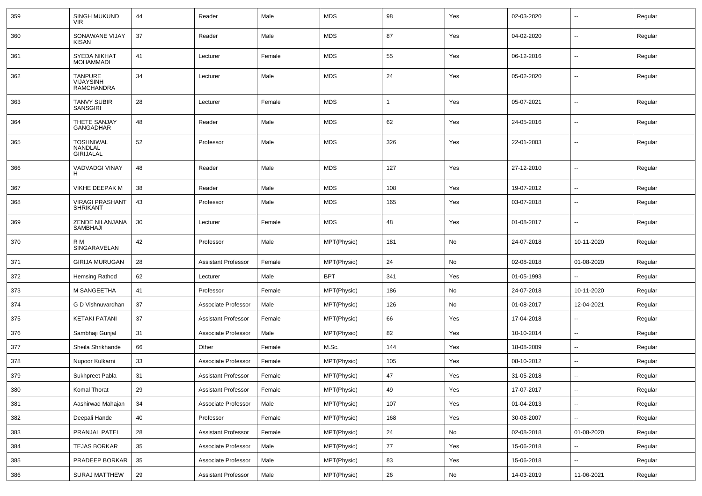| 359 | <b>SINGH MUKUND</b><br><b>VIR</b>                | 44 | Reader                     | Male   | <b>MDS</b>  | 98  | Yes | 02-03-2020 | $\overline{\phantom{a}}$ | Regular |
|-----|--------------------------------------------------|----|----------------------------|--------|-------------|-----|-----|------------|--------------------------|---------|
| 360 | SONAWANE VIJAY<br><b>KISAN</b>                   | 37 | Reader                     | Male   | <b>MDS</b>  | 87  | Yes | 04-02-2020 | $\sim$                   | Regular |
| 361 | <b>SYEDA NIKHAT</b><br><b>MOHAMMADI</b>          | 41 | Lecturer                   | Female | <b>MDS</b>  | 55  | Yes | 06-12-2016 | $\sim$                   | Regular |
| 362 | <b>TANPURE</b><br>VIJAYSINH<br><b>RAMCHANDRA</b> | 34 | Lecturer                   | Male   | <b>MDS</b>  | 24  | Yes | 05-02-2020 | $\overline{\phantom{a}}$ | Regular |
| 363 | <b>TANVY SUBIR</b><br><b>SANSGIRI</b>            | 28 | Lecturer                   | Female | <b>MDS</b>  | -1  | Yes | 05-07-2021 | $\mathbf{u}$             | Regular |
| 364 | THETE SANJAY<br><b>GANGADHAR</b>                 | 48 | Reader                     | Male   | <b>MDS</b>  | 62  | Yes | 24-05-2016 | $\mathbf{u}$             | Regular |
| 365 | <b>TOSHNIWAL</b><br>NANDLAL<br><b>GIRIJALAL</b>  | 52 | Professor                  | Male   | <b>MDS</b>  | 326 | Yes | 22-01-2003 | $\mathbf{u}$             | Regular |
| 366 | VADVADGI VINAY<br>H                              | 48 | Reader                     | Male   | <b>MDS</b>  | 127 | Yes | 27-12-2010 | --                       | Regular |
| 367 | <b>VIKHE DEEPAK M</b>                            | 38 | Reader                     | Male   | <b>MDS</b>  | 108 | Yes | 19-07-2012 | --                       | Regular |
| 368 | <b>VIRAGI PRASHANT</b><br><b>SHRIKANT</b>        | 43 | Professor                  | Male   | <b>MDS</b>  | 165 | Yes | 03-07-2018 | $\overline{\phantom{a}}$ | Regular |
| 369 | ZENDE NILANJANA<br>SAMBHAJI                      | 30 | Lecturer                   | Female | <b>MDS</b>  | 48  | Yes | 01-08-2017 | $\mathbf{u}$             | Regular |
| 370 | R M<br>SINGARAVELAN                              | 42 | Professor                  | Male   | MPT(Physio) | 181 | No  | 24-07-2018 | 10-11-2020               | Regular |
| 371 | <b>GIRIJA MURUGAN</b>                            | 28 | <b>Assistant Professor</b> | Female | MPT(Physio) | 24  | No  | 02-08-2018 | 01-08-2020               | Regular |
| 372 | <b>Hemsing Rathod</b>                            | 62 | Lecturer                   | Male   | <b>BPT</b>  | 341 | Yes | 01-05-1993 |                          | Regular |
| 373 | M SANGEETHA                                      | 41 | Professor                  | Female | MPT(Physio) | 186 | No  | 24-07-2018 | 10-11-2020               | Regular |
| 374 | G D Vishnuvardhan                                | 37 | Associate Professor        | Male   | MPT(Physio) | 126 | No  | 01-08-2017 | 12-04-2021               | Regular |
| 375 | <b>KETAKI PATANI</b>                             | 37 | <b>Assistant Professor</b> | Female | MPT(Physio) | 66  | Yes | 17-04-2018 |                          | Regular |
| 376 | Sambhaji Gunjal                                  | 31 | Associate Professor        | Male   | MPT(Physio) | 82  | Yes | 10-10-2014 | $\overline{\phantom{a}}$ | Regular |
| 377 | Sheila Shrikhande                                | 66 | Other                      | Female | M.Sc.       | 144 | Yes | 18-08-2009 | $\overline{\phantom{a}}$ | Regular |
| 378 | Nupoor Kulkarni                                  | 33 | Associate Professor        | Female | MPT(Physio) | 105 | Yes | 08-10-2012 | $\sim$                   | Regular |
| 379 | Sukhpreet Pabla                                  | 31 | <b>Assistant Professor</b> | Female | MPT(Physio) | 47  | Yes | 31-05-2018 |                          | Regular |
| 380 | Komal Thorat                                     | 29 | <b>Assistant Professor</b> | Female | MPT(Physio) | 49  | Yes | 17-07-2017 | $\overline{\phantom{a}}$ | Regular |
| 381 | Aashirwad Mahajan                                | 34 | Associate Professor        | Male   | MPT(Physio) | 107 | Yes | 01-04-2013 | $\sim$                   | Regular |
| 382 | Deepali Hande                                    | 40 | Professor                  | Female | MPT(Physio) | 168 | Yes | 30-08-2007 | $\sim$                   | Regular |
| 383 | PRANJAL PATEL                                    | 28 | <b>Assistant Professor</b> | Female | MPT(Physio) | 24  | No  | 02-08-2018 | 01-08-2020               | Regular |
| 384 | <b>TEJAS BORKAR</b>                              | 35 | Associate Professor        | Male   | MPT(Physio) | 77  | Yes | 15-06-2018 | $\sim$                   | Regular |
| 385 | PRADEEP BORKAR                                   | 35 | Associate Professor        | Male   | MPT(Physio) | 83  | Yes | 15-06-2018 | $\sim$                   | Regular |
| 386 | SURAJ MATTHEW                                    | 29 | Assistant Professor        | Male   | MPT(Physio) | 26  | No  | 14-03-2019 | 11-06-2021               | Regular |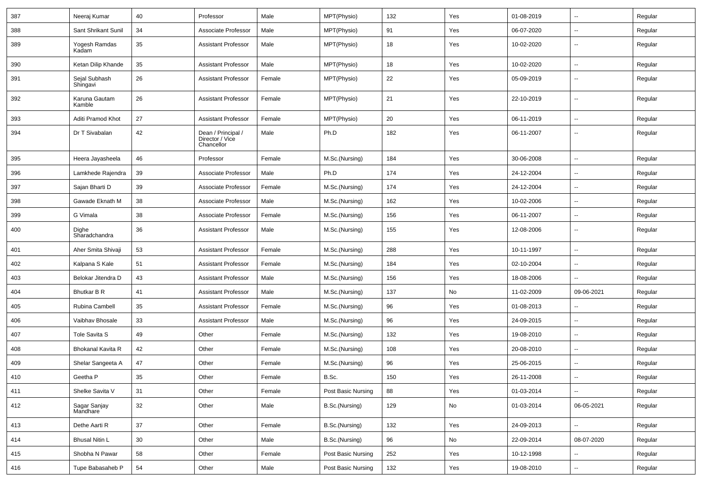| 387 | Neeraj Kumar              | 40     | Professor                                           | Male   | MPT(Physio)        | 132 | Yes           | 01-08-2019 |                          | Regular |
|-----|---------------------------|--------|-----------------------------------------------------|--------|--------------------|-----|---------------|------------|--------------------------|---------|
| 388 | Sant Shrikant Sunil       | 34     | Associate Professor                                 | Male   | MPT(Physio)        | 91  | Yes           | 06-07-2020 | --                       | Regular |
| 389 | Yogesh Ramdas<br>Kadam    | 35     | <b>Assistant Professor</b>                          | Male   | MPT(Physio)        | 18  | Yes           | 10-02-2020 | $\overline{\phantom{a}}$ | Regular |
| 390 | Ketan Dilip Khande        | $35\,$ | <b>Assistant Professor</b>                          | Male   | MPT(Physio)        | 18  | Yes           | 10-02-2020 | --                       | Regular |
| 391 | Sejal Subhash<br>Shìngavi | 26     | <b>Assistant Professor</b>                          | Female | MPT(Physio)        | 22  | Yes           | 05-09-2019 | --                       | Regular |
| 392 | Karuna Gautam<br>Kamble   | 26     | <b>Assistant Professor</b>                          | Female | MPT(Physio)        | 21  | Yes           | 22-10-2019 | --                       | Regular |
| 393 | Aditi Pramod Khot         | 27     | <b>Assistant Professor</b>                          | Female | MPT(Physio)        | 20  | Yes           | 06-11-2019 | --                       | Regular |
| 394 | Dr T Sivabalan            | 42     | Dean / Principal /<br>Director / Vice<br>Chancellor | Male   | Ph.D               | 182 | Yes           | 06-11-2007 | $\overline{\phantom{a}}$ | Regular |
| 395 | Heera Jayasheela          | 46     | Professor                                           | Female | M.Sc.(Nursing)     | 184 | Yes           | 30-06-2008 | --                       | Regular |
| 396 | Lamkhede Rajendra         | 39     | Associate Professor                                 | Male   | Ph.D               | 174 | Yes           | 24-12-2004 | Ш,                       | Regular |
| 397 | Sajan Bharti D            | 39     | Associate Professor                                 | Female | M.Sc.(Nursing)     | 174 | Yes           | 24-12-2004 | н.                       | Regular |
| 398 | Gawade Eknath M           | 38     | Associate Professor                                 | Male   | M.Sc.(Nursing)     | 162 | Yes           | 10-02-2006 | -−                       | Regular |
| 399 | G Vimala                  | 38     | Associate Professor                                 | Female | M.Sc.(Nursing)     | 156 | Yes           | 06-11-2007 | $\overline{\phantom{a}}$ | Regular |
| 400 | Dighe<br>Sharadchandra    | 36     | <b>Assistant Professor</b>                          | Male   | M.Sc.(Nursing)     | 155 | Yes           | 12-08-2006 | --                       | Regular |
| 401 | Aher Smita Shivaji        | 53     | <b>Assistant Professor</b>                          | Female | M.Sc.(Nursing)     | 288 | Yes           | 10-11-1997 | --                       | Regular |
| 402 | Kalpana S Kale            | 51     | <b>Assistant Professor</b>                          | Female | M.Sc.(Nursing)     | 184 | Yes           | 02-10-2004 | --                       | Regular |
| 403 | Belokar Jitendra D        | 43     | <b>Assistant Professor</b>                          | Male   | M.Sc.(Nursing)     | 156 | Yes           | 18-08-2006 | $\sim$                   | Regular |
| 404 | Bhutkar B R               | 41     | <b>Assistant Professor</b>                          | Male   | M.Sc.(Nursing)     | 137 | No            | 11-02-2009 | 09-06-2021               | Regular |
| 405 | Rubina Cambell            | 35     | <b>Assistant Professor</b>                          | Female | M.Sc.(Nursing)     | 96  | Yes           | 01-08-2013 |                          | Regular |
| 406 | Vaibhav Bhosale           | 33     | <b>Assistant Professor</b>                          | Male   | M.Sc.(Nursing)     | 96  | Yes           | 24-09-2015 | --                       | Regular |
| 407 | Tole Savita S             | 49     | Other                                               | Female | M.Sc.(Nursing)     | 132 | Yes           | 19-08-2010 | $\overline{a}$           | Regular |
| 408 | Bhokanal Kavita R         | 42     | Other                                               | Female | M.Sc.(Nursing)     | 108 | Yes           | 20-08-2010 | --                       | Regular |
| 409 | Shelar Sangeeta A         | 47     | Other                                               | Female | M.Sc.(Nursing)     | 96  | Yes           | 25-06-2015 | $\overline{\phantom{a}}$ | Regular |
| 410 | Geetha P                  | 35     | Other                                               | Female | B.Sc.              | 150 | Yes           | 26-11-2008 | -−                       | Regular |
| 411 | Shelke Savita V           | 31     | Other                                               | Female | Post Basic Nursing | 88  | Yes           | 01-03-2014 | $\sim$                   | Regular |
| 412 | Sagar Sanjay<br>Mandhare  | 32     | Other                                               | Male   | B.Sc.(Nursing)     | 129 | $\mathsf{No}$ | 01-03-2014 | 06-05-2021               | Regular |
| 413 | Dethe Aarti R             | 37     | Other                                               | Female | B.Sc.(Nursing)     | 132 | Yes           | 24-09-2013 |                          | Regular |
| 414 | <b>Bhusal Nitin L</b>     | 30     | Other                                               | Male   | B.Sc.(Nursing)     | 96  | No            | 22-09-2014 | 08-07-2020               | Regular |
| 415 | Shobha N Pawar            | 58     | Other                                               | Female | Post Basic Nursing | 252 | Yes           | 10-12-1998 |                          | Regular |
| 416 | Tupe Babasaheb P          | 54     | Other                                               | Male   | Post Basic Nursing | 132 | Yes           | 19-08-2010 | $\sim$                   | Regular |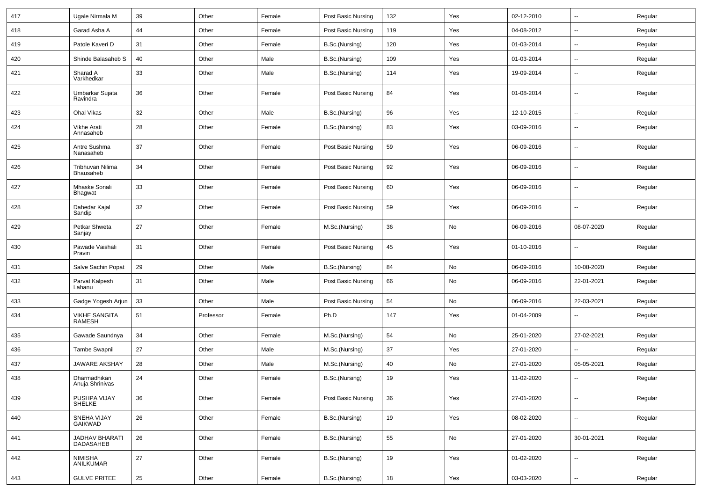| 417 | Ugale Nirmala M                       | 39     | Other     | Female | Post Basic Nursing | 132 | Yes | 02-12-2010 | $\sim$                   | Regular |
|-----|---------------------------------------|--------|-----------|--------|--------------------|-----|-----|------------|--------------------------|---------|
| 418 | Garad Asha A                          | 44     | Other     | Female | Post Basic Nursing | 119 | Yes | 04-08-2012 | $\overline{\phantom{a}}$ | Regular |
| 419 | Patole Kaveri D                       | 31     | Other     | Female | B.Sc.(Nursing)     | 120 | Yes | 01-03-2014 | $\overline{\phantom{a}}$ | Regular |
| 420 | Shinde Balasaheb S                    | 40     | Other     | Male   | B.Sc.(Nursing)     | 109 | Yes | 01-03-2014 | $\overline{\phantom{a}}$ | Regular |
| 421 | Sharad A<br>Varkhedkar                | 33     | Other     | Male   | B.Sc.(Nursing)     | 114 | Yes | 19-09-2014 | --                       | Regular |
| 422 | Umbarkar Sujata<br>Ravindra           | 36     | Other     | Female | Post Basic Nursing | 84  | Yes | 01-08-2014 | --                       | Regular |
| 423 | Ohal Vikas                            | 32     | Other     | Male   | B.Sc.(Nursing)     | 96  | Yes | 12-10-2015 | $\overline{\phantom{a}}$ | Regular |
| 424 | Vikhe Arati<br>Annasaheb              | 28     | Other     | Female | B.Sc.(Nursing)     | 83  | Yes | 03-09-2016 | $\sim$                   | Regular |
| 425 | Antre Sushma<br>Nanasaheb             | 37     | Other     | Female | Post Basic Nursing | 59  | Yes | 06-09-2016 | ÷.                       | Regular |
| 426 | Tribhuvan Nilima<br>Bhausaheb         | 34     | Other     | Female | Post Basic Nursing | 92  | Yes | 06-09-2016 | ÷.                       | Regular |
| 427 | Mhaske Sonali<br><b>Bhagwat</b>       | 33     | Other     | Female | Post Basic Nursing | 60  | Yes | 06-09-2016 | $\sim$                   | Regular |
| 428 | Dahedar Kajal<br>Sandip               | 32     | Other     | Female | Post Basic Nursing | 59  | Yes | 06-09-2016 | ÷.                       | Regular |
| 429 | Petkar Shweta<br>Sanjay               | 27     | Other     | Female | M.Sc.(Nursing)     | 36  | No  | 06-09-2016 | 08-07-2020               | Regular |
| 430 | Pawade Vaishali<br>Pravin             | 31     | Other     | Female | Post Basic Nursing | 45  | Yes | 01-10-2016 | $\sim$                   | Regular |
| 431 | Salve Sachin Popat                    | 29     | Other     | Male   | B.Sc.(Nursing)     | 84  | No  | 06-09-2016 | 10-08-2020               | Regular |
| 432 | Parvat Kalpesh<br>Lahanu              | 31     | Other     | Male   | Post Basic Nursing | 66  | No  | 06-09-2016 | 22-01-2021               | Regular |
| 433 | Gadge Yogesh Arjun                    | 33     | Other     | Male   | Post Basic Nursing | 54  | No  | 06-09-2016 | 22-03-2021               | Regular |
| 434 | <b>VIKHE SANGITA</b><br><b>RAMESH</b> | 51     | Professor | Female | Ph.D               | 147 | Yes | 01-04-2009 | $\overline{\phantom{a}}$ | Regular |
| 435 | Gawade Saundnya                       | 34     | Other     | Female | M.Sc.(Nursing)     | 54  | No  | 25-01-2020 | 27-02-2021               | Regular |
| 436 | <b>Tambe Swapnil</b>                  | 27     | Other     | Male   | M.Sc.(Nursing)     | 37  | Yes | 27-01-2020 | $\sim$                   | Regular |
| 437 | <b>JAWARE AKSHAY</b>                  | 28     | Other     | Male   | M.Sc.(Nursing)     | 40  | No  | 27-01-2020 | 05-05-2021               | Regular |
| 438 | Dharmadhikari<br>Anuja Shrinivas      | 24     | Other     | Female | B.Sc.(Nursing)     | 19  | Yes | 11-02-2020 | --                       | Regular |
| 439 | PUSHPA VIJAY<br>SHELKE                | 36     | Other     | Female | Post Basic Nursing | 36  | Yes | 27-01-2020 | Ξ.                       | Regular |
| 440 | SNEHA VIJAY<br>GAIKWAD                | 26     | Other     | Female | B.Sc.(Nursing)     | 19  | Yes | 08-02-2020 | Щ,                       | Regular |
| 441 | JADHAV BHARATI<br><b>DADASAHEB</b>    | 26     | Other     | Female | B.Sc.(Nursing)     | 55  | No  | 27-01-2020 | 30-01-2021               | Regular |
| 442 | <b>NIMISHA</b><br>ANILKUMAR           | $27\,$ | Other     | Female | B.Sc.(Nursing)     | 19  | Yes | 01-02-2020 | $\overline{\phantom{a}}$ | Regular |
| 443 | <b>GULVE PRITEE</b>                   | 25     | Other     | Female | B.Sc.(Nursing)     | 18  | Yes | 03-03-2020 | ÷.                       | Regular |